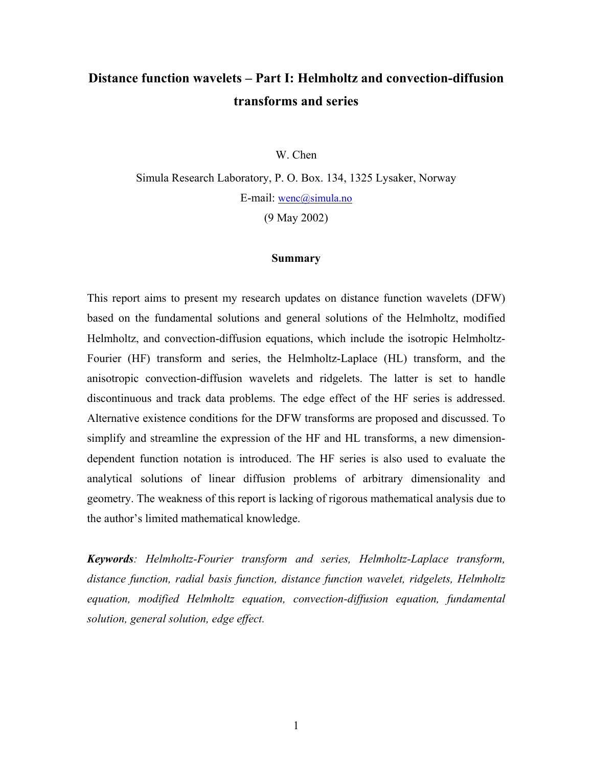# **Distance function wavelets – Part I: Helmholtz and convection-diffusion transforms and series**

W. Chen

Simula Research Laboratory, P. O. Box. 134, 1325 Lysaker, Norway E-mail: [wenc@simula.no](mailto:wenc@simula.no)  (9 May 2002)

#### **Summary**

This report aims to present my research updates on distance function wavelets (DFW) based on the fundamental solutions and general solutions of the Helmholtz, modified Helmholtz, and convection-diffusion equations, which include the isotropic Helmholtz-Fourier (HF) transform and series, the Helmholtz-Laplace (HL) transform, and the anisotropic convection-diffusion wavelets and ridgelets. The latter is set to handle discontinuous and track data problems. The edge effect of the HF series is addressed. Alternative existence conditions for the DFW transforms are proposed and discussed. To simplify and streamline the expression of the HF and HL transforms, a new dimensiondependent function notation is introduced. The HF series is also used to evaluate the analytical solutions of linear diffusion problems of arbitrary dimensionality and geometry. The weakness of this report is lacking of rigorous mathematical analysis due to the author's limited mathematical knowledge.

*Keywords: Helmholtz-Fourier transform and series, Helmholtz-Laplace transform, distance function, radial basis function, distance function wavelet, ridgelets, Helmholtz equation, modified Helmholtz equation, convection-diffusion equation, fundamental solution, general solution, edge effect.*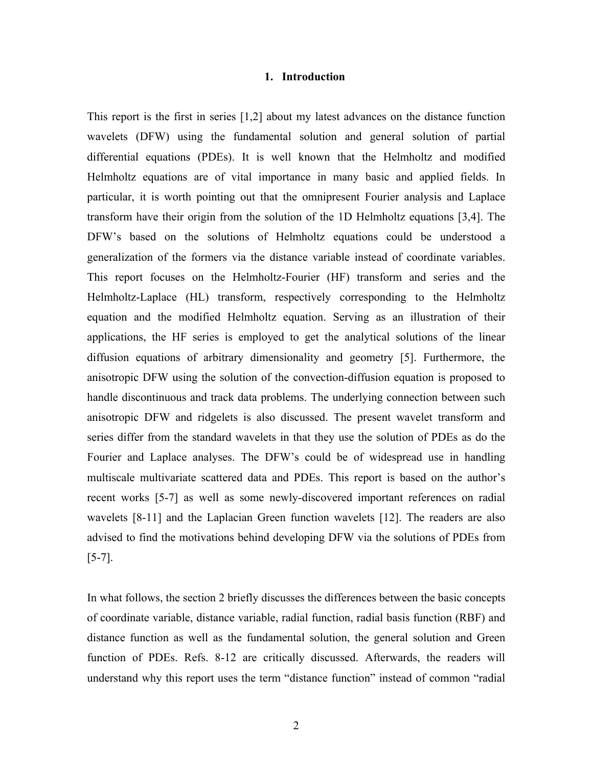#### **1. Introduction**

This report is the first in series [1,2] about my latest advances on the distance function wavelets (DFW) using the fundamental solution and general solution of partial differential equations (PDEs). It is well known that the Helmholtz and modified Helmholtz equations are of vital importance in many basic and applied fields. In particular, it is worth pointing out that the omnipresent Fourier analysis and Laplace transform have their origin from the solution of the 1D Helmholtz equations [3,4]. The DFW's based on the solutions of Helmholtz equations could be understood a generalization of the formers via the distance variable instead of coordinate variables. This report focuses on the Helmholtz-Fourier (HF) transform and series and the Helmholtz-Laplace (HL) transform, respectively corresponding to the Helmholtz equation and the modified Helmholtz equation. Serving as an illustration of their applications, the HF series is employed to get the analytical solutions of the linear diffusion equations of arbitrary dimensionality and geometry [5]. Furthermore, the anisotropic DFW using the solution of the convection-diffusion equation is proposed to handle discontinuous and track data problems. The underlying connection between such anisotropic DFW and ridgelets is also discussed. The present wavelet transform and series differ from the standard wavelets in that they use the solution of PDEs as do the Fourier and Laplace analyses. The DFW's could be of widespread use in handling multiscale multivariate scattered data and PDEs. This report is based on the author's recent works [5-7] as well as some newly-discovered important references on radial wavelets [8-11] and the Laplacian Green function wavelets [12]. The readers are also advised to find the motivations behind developing DFW via the solutions of PDEs from [5-7].

In what follows, the section 2 briefly discusses the differences between the basic concepts of coordinate variable, distance variable, radial function, radial basis function (RBF) and distance function as well as the fundamental solution, the general solution and Green function of PDEs. Refs. 8-12 are critically discussed. Afterwards, the readers will understand why this report uses the term "distance function" instead of common "radial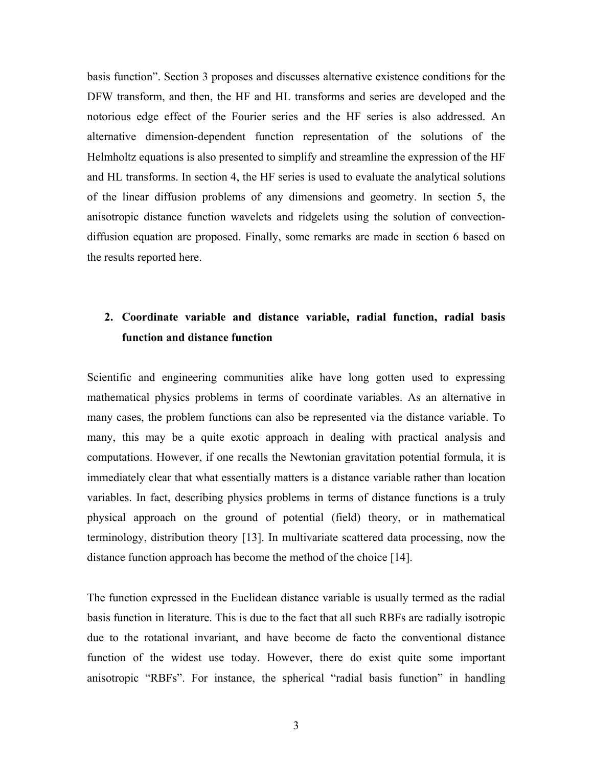basis function". Section 3 proposes and discusses alternative existence conditions for the DFW transform, and then, the HF and HL transforms and series are developed and the notorious edge effect of the Fourier series and the HF series is also addressed. An alternative dimension-dependent function representation of the solutions of the Helmholtz equations is also presented to simplify and streamline the expression of the HF and HL transforms. In section 4, the HF series is used to evaluate the analytical solutions of the linear diffusion problems of any dimensions and geometry. In section 5, the anisotropic distance function wavelets and ridgelets using the solution of convectiondiffusion equation are proposed. Finally, some remarks are made in section 6 based on the results reported here.

## **2. Coordinate variable and distance variable, radial function, radial basis function and distance function**

Scientific and engineering communities alike have long gotten used to expressing mathematical physics problems in terms of coordinate variables. As an alternative in many cases, the problem functions can also be represented via the distance variable. To many, this may be a quite exotic approach in dealing with practical analysis and computations. However, if one recalls the Newtonian gravitation potential formula, it is immediately clear that what essentially matters is a distance variable rather than location variables. In fact, describing physics problems in terms of distance functions is a truly physical approach on the ground of potential (field) theory, or in mathematical terminology, distribution theory [13]. In multivariate scattered data processing, now the distance function approach has become the method of the choice [14].

The function expressed in the Euclidean distance variable is usually termed as the radial basis function in literature. This is due to the fact that all such RBFs are radially isotropic due to the rotational invariant, and have become de facto the conventional distance function of the widest use today. However, there do exist quite some important anisotropic "RBFs". For instance, the spherical "radial basis function" in handling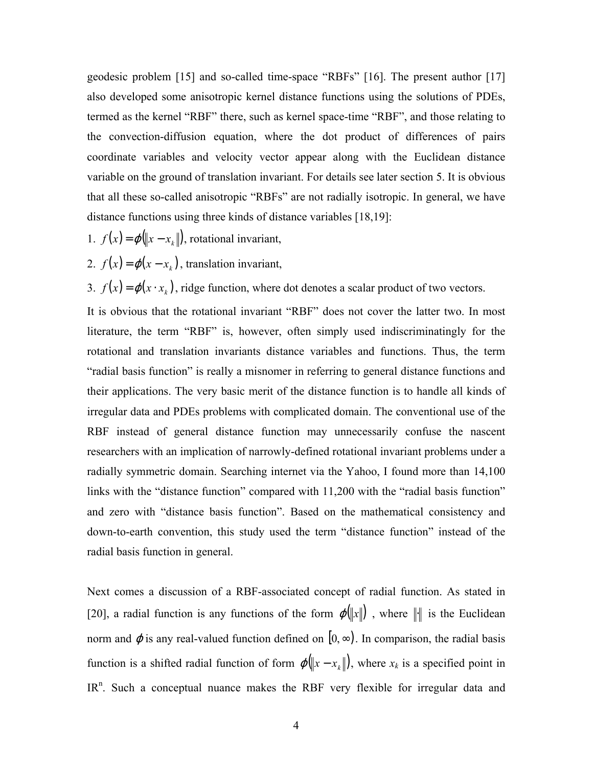geodesic problem [15] and so-called time-space "RBFs" [16]. The present author [17] also developed some anisotropic kernel distance functions using the solutions of PDEs, termed as the kernel "RBF" there, such as kernel space-time "RBF", and those relating to the convection-diffusion equation, where the dot product of differences of pairs coordinate variables and velocity vector appear along with the Euclidean distance variable on the ground of translation invariant. For details see later section 5. It is obvious that all these so-called anisotropic "RBFs" are not radially isotropic. In general, we have distance functions using three kinds of distance variables [18,19]:

- 1.  $f(x) = \varphi(\|x x_k\|)$ , rotational invariant,
- 2.  $f(x) = \varphi(x x_k)$ , translation invariant,

3.  $f(x) = \varphi(x \cdot x_k)$ , ridge function, where dot denotes a scalar product of two vectors.

It is obvious that the rotational invariant "RBF" does not cover the latter two. In most literature, the term "RBF" is, however, often simply used indiscriminatingly for the rotational and translation invariants distance variables and functions. Thus, the term "radial basis function" is really a misnomer in referring to general distance functions and their applications. The very basic merit of the distance function is to handle all kinds of irregular data and PDEs problems with complicated domain. The conventional use of the RBF instead of general distance function may unnecessarily confuse the nascent researchers with an implication of narrowly-defined rotational invariant problems under a radially symmetric domain. Searching internet via the Yahoo, I found more than 14,100 links with the "distance function" compared with 11,200 with the "radial basis function" and zero with "distance basis function". Based on the mathematical consistency and down-to-earth convention, this study used the term "distance function" instead of the radial basis function in general.

Next comes a discussion of a RBF-associated concept of radial function. As stated in [20], a radial function is any functions of the form  $\varphi(\|x\|)$ , where  $\|x\|$  is the Euclidean norm and  $\varphi$  is any real-valued function defined on  $[0, \infty)$ . In comparison, the radial basis function is a shifted radial function of form  $\varphi(\|x-x_k\|)$ , where  $x_k$  is a specified point in  $IR<sup>n</sup>$ . Such a conceptual nuance makes the RBF very flexible for irregular data and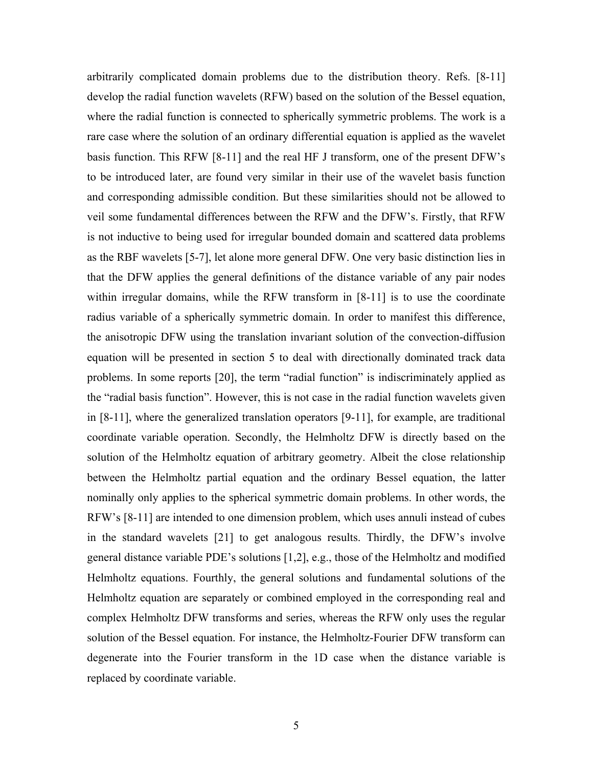arbitrarily complicated domain problems due to the distribution theory. Refs. [8-11] develop the radial function wavelets (RFW) based on the solution of the Bessel equation, where the radial function is connected to spherically symmetric problems. The work is a rare case where the solution of an ordinary differential equation is applied as the wavelet basis function. This RFW [8-11] and the real HF J transform, one of the present DFW's to be introduced later, are found very similar in their use of the wavelet basis function and corresponding admissible condition. But these similarities should not be allowed to veil some fundamental differences between the RFW and the DFW's. Firstly, that RFW is not inductive to being used for irregular bounded domain and scattered data problems as the RBF wavelets [5-7], let alone more general DFW. One very basic distinction lies in that the DFW applies the general definitions of the distance variable of any pair nodes within irregular domains, while the RFW transform in [8-11] is to use the coordinate radius variable of a spherically symmetric domain. In order to manifest this difference, the anisotropic DFW using the translation invariant solution of the convection-diffusion equation will be presented in section 5 to deal with directionally dominated track data problems. In some reports [20], the term "radial function" is indiscriminately applied as the "radial basis function". However, this is not case in the radial function wavelets given in [8-11], where the generalized translation operators [9-11], for example, are traditional coordinate variable operation. Secondly, the Helmholtz DFW is directly based on the solution of the Helmholtz equation of arbitrary geometry. Albeit the close relationship between the Helmholtz partial equation and the ordinary Bessel equation, the latter nominally only applies to the spherical symmetric domain problems. In other words, the RFW's [8-11] are intended to one dimension problem, which uses annuli instead of cubes in the standard wavelets [21] to get analogous results. Thirdly, the DFW's involve general distance variable PDE's solutions [1,2], e.g., those of the Helmholtz and modified Helmholtz equations. Fourthly, the general solutions and fundamental solutions of the Helmholtz equation are separately or combined employed in the corresponding real and complex Helmholtz DFW transforms and series, whereas the RFW only uses the regular solution of the Bessel equation. For instance, the Helmholtz-Fourier DFW transform can degenerate into the Fourier transform in the 1D case when the distance variable is replaced by coordinate variable.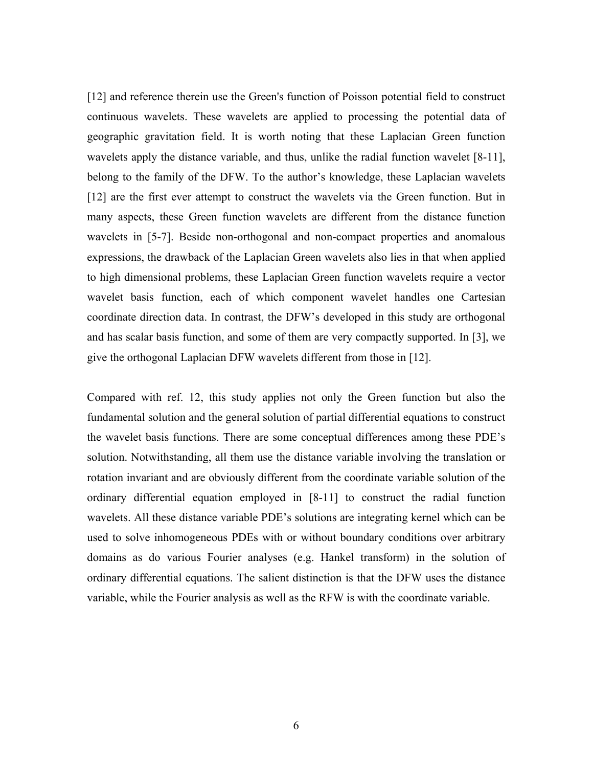[12] and reference therein use the Green's function of Poisson potential field to construct continuous wavelets. These wavelets are applied to processing the potential data of geographic gravitation field. It is worth noting that these Laplacian Green function wavelets apply the distance variable, and thus, unlike the radial function wavelet [8-11], belong to the family of the DFW. To the author's knowledge, these Laplacian wavelets [12] are the first ever attempt to construct the wavelets via the Green function. But in many aspects, these Green function wavelets are different from the distance function wavelets in [5-7]. Beside non-orthogonal and non-compact properties and anomalous expressions, the drawback of the Laplacian Green wavelets also lies in that when applied to high dimensional problems, these Laplacian Green function wavelets require a vector wavelet basis function, each of which component wavelet handles one Cartesian coordinate direction data. In contrast, the DFW's developed in this study are orthogonal and has scalar basis function, and some of them are very compactly supported. In [3], we give the orthogonal Laplacian DFW wavelets different from those in [12].

Compared with ref. 12, this study applies not only the Green function but also the fundamental solution and the general solution of partial differential equations to construct the wavelet basis functions. There are some conceptual differences among these PDE's solution. Notwithstanding, all them use the distance variable involving the translation or rotation invariant and are obviously different from the coordinate variable solution of the ordinary differential equation employed in [8-11] to construct the radial function wavelets. All these distance variable PDE's solutions are integrating kernel which can be used to solve inhomogeneous PDEs with or without boundary conditions over arbitrary domains as do various Fourier analyses (e.g. Hankel transform) in the solution of ordinary differential equations. The salient distinction is that the DFW uses the distance variable, while the Fourier analysis as well as the RFW is with the coordinate variable.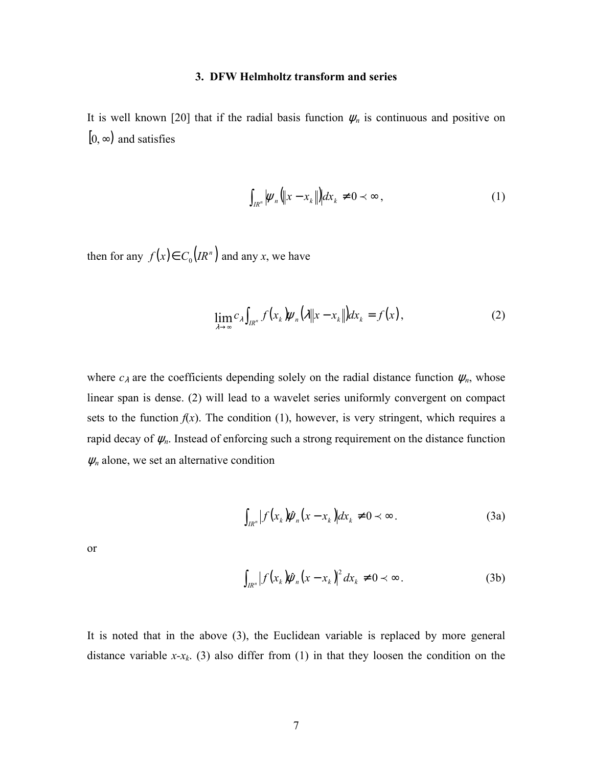## **3. DFW Helmholtz transform and series**

It is well known [20] that if the radial basis function  $\psi_n$  is continuous and positive on  $[0, \infty)$  and satisfies

$$
\int_{I R^n} |\psi_n||x - x_k| |dx_k \neq 0 \prec \infty ,
$$
\n(1)

then for any  $f(x) \in C_0(R^n)$  and any *x*, we have

$$
\lim_{\lambda \to \infty} c_{\lambda} \int_{I R^n} f(x_k) \psi_n(\lambda \| x - x_k \|) dx_k = f(x), \tag{2}
$$

where  $c_{\lambda}$  are the coefficients depending solely on the radial distance function  $\psi_n$ , whose linear span is dense. (2) will lead to a wavelet series uniformly convergent on compact sets to the function  $f(x)$ . The condition (1), however, is very stringent, which requires a rapid decay of  $\psi_n$ . Instead of enforcing such a strong requirement on the distance function  $\psi_n$  alone, we set an alternative condition

$$
\int_{I R^n} \left| f(x_k) \hat{\psi}_n(x - x_k) \right| dx_k \neq 0 \prec \infty \,.
$$
 (3a)

or

$$
\int_{I R^n} \left| f(x_k) \hat{\psi}_n(x - x_k) \right|^2 dx_k \neq 0 \prec \infty. \tag{3b}
$$

It is noted that in the above (3), the Euclidean variable is replaced by more general distance variable  $x-x_k$ . (3) also differ from (1) in that they loosen the condition on the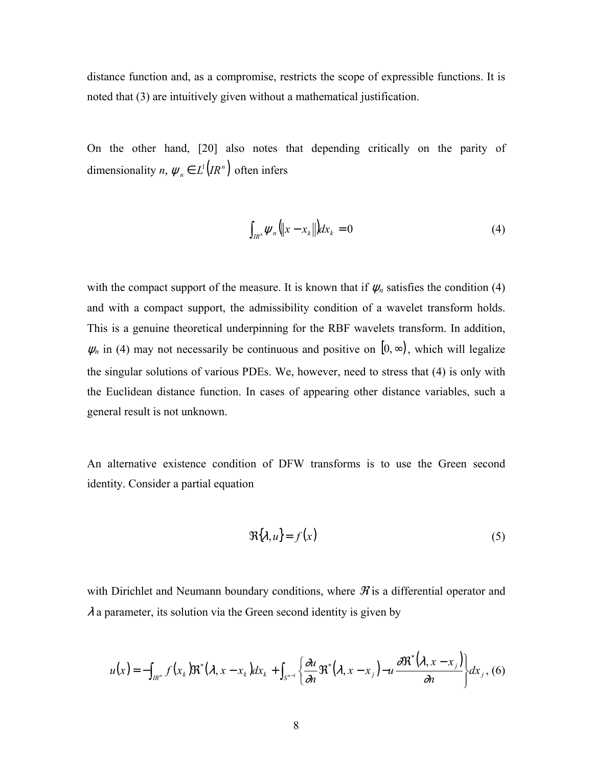distance function and, as a compromise, restricts the scope of expressible functions. It is noted that (3) are intuitively given without a mathematical justification.

On the other hand, [20] also notes that depending critically on the parity of dimensionality *n*,  $\psi_n \in L^1(R^n)$  often infers

$$
\int_{I R^n} \psi_n \left( \left\| x - x_k \right\| \right) dx_k = 0 \tag{4}
$$

with the compact support of the measure. It is known that if  $\psi_n$  satisfies the condition (4) and with a compact support, the admissibility condition of a wavelet transform holds. This is a genuine theoretical underpinning for the RBF wavelets transform. In addition,  $\psi_n$  in (4) may not necessarily be continuous and positive on [0,  $\infty$ ), which will legalize the singular solutions of various PDEs. We, however, need to stress that (4) is only with the Euclidean distance function. In cases of appearing other distance variables, such a general result is not unknown.

An alternative existence condition of DFW transforms is to use the Green second identity. Consider a partial equation

$$
\Re{\lambda, u\} = f(x) \tag{5}
$$

with Dirichlet and Neumann boundary conditions, where  $\mathcal{\hat{X}}$  is a differential operator and  $\lambda$  a parameter, its solution via the Green second identity is given by

$$
u(x) = -\int_{I R^n} f(x_k) \Re^*(\lambda, x - x_k) dx_k + \int_{S^{n-1}} \left\{ \frac{\partial u}{\partial n} \Re^*(\lambda, x - x_j) - u \frac{\partial \Re^*(\lambda, x - x_j)}{\partial n} \right\} dx_j, (6)
$$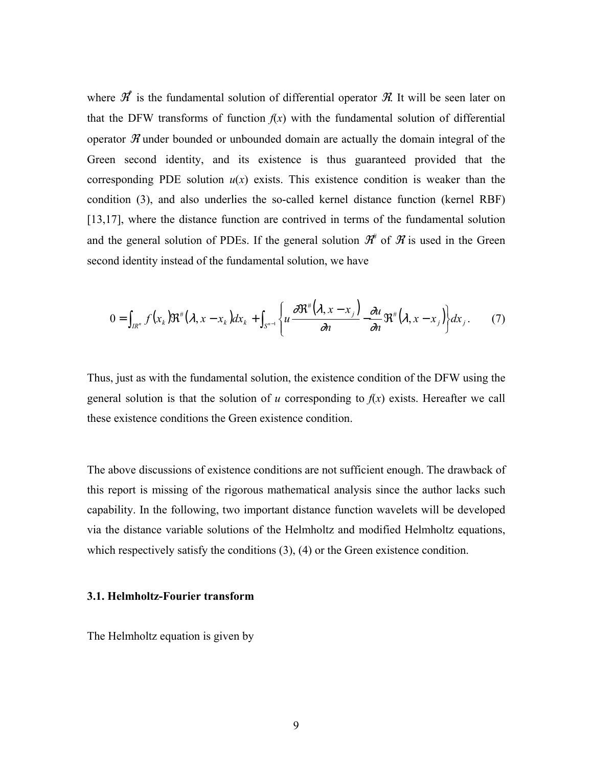where  $\mathscr{R}^*$  is the fundamental solution of differential operator  $\mathscr{R}$ . It will be seen later on that the DFW transforms of function  $f(x)$  with the fundamental solution of differential operator  $\mathcal X$  under bounded or unbounded domain are actually the domain integral of the Green second identity, and its existence is thus guaranteed provided that the corresponding PDE solution  $u(x)$  exists. This existence condition is weaker than the condition (3), and also underlies the so-called kernel distance function (kernel RBF) [13,17], where the distance function are contrived in terms of the fundamental solution and the general solution of PDEs. If the general solution  $\mathcal{H}^{\#}$  of  $\mathcal{H}$  is used in the Green second identity instead of the fundamental solution, we have

$$
0 = \int_{I R^n} f(x_k) \Re^{\#}(\lambda, x - x_k) dx_k + \int_{S^{n-1}} \left\{ u \frac{\partial \Re^{\#}(\lambda, x - x_j)}{\partial n} - \frac{\partial u}{\partial n} \Re^{\#}(\lambda, x - x_j) \right\} dx_j.
$$
 (7)

Thus, just as with the fundamental solution, the existence condition of the DFW using the general solution is that the solution of  $u$  corresponding to  $f(x)$  exists. Hereafter we call these existence conditions the Green existence condition.

The above discussions of existence conditions are not sufficient enough. The drawback of this report is missing of the rigorous mathematical analysis since the author lacks such capability. In the following, two important distance function wavelets will be developed via the distance variable solutions of the Helmholtz and modified Helmholtz equations, which respectively satisfy the conditions (3), (4) or the Green existence condition.

#### **3.1. Helmholtz-Fourier transform**

The Helmholtz equation is given by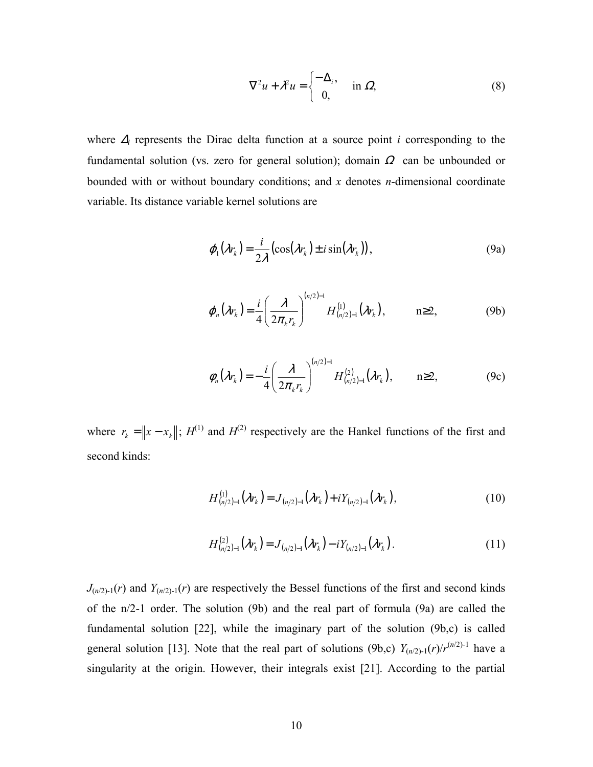$$
\nabla^2 u + \lambda^2 u = \begin{cases} -\Delta_i, & \text{in } \Omega, \\ 0, & \text{in } \Omega. \end{cases}
$$
 (8)

where <sup>∆</sup>*i* represents the Dirac delta function at a source point *i* corresponding to the fundamental solution (vs. zero for general solution); domain  $\Omega$  can be unbounded or bounded with or without boundary conditions; and *x* denotes *n*-dimensional coordinate variable. Its distance variable kernel solutions are

$$
\varphi_1(\lambda r_k) = \frac{i}{2\lambda} \left( \cos(\lambda r_k) \pm i \sin(\lambda r_k) \right),\tag{9a}
$$

$$
\varphi_n(\lambda r_k) = \frac{i}{4} \left( \frac{\lambda}{2\pi_k r_k} \right)^{(n/2)-1} H_{(n/2)-1}^{(1)}(\lambda r_k), \qquad n \ge 2, \tag{9b}
$$

$$
\phi_n(\lambda r_k) = -\frac{i}{4} \left( \frac{\lambda}{2\pi_k r_k} \right)^{(n/2)-1} H_{(n/2)-1}^{(2)}(\lambda r_k), \qquad n \ge 2, \tag{9c}
$$

where  $r_k = ||x - x_k||$ ;  $H^{(1)}$  and  $H^{(2)}$  respectively are the Hankel functions of the first and second kinds:

$$
H_{(n/2)-1}^{(1)}(\lambda r_k) = J_{(n/2)-1}(\lambda r_k) + i Y_{(n/2)-1}(\lambda r_k), \qquad (10)
$$

$$
H_{(n/2)-1}^{(2)}(\lambda r_k) = J_{(n/2)-1}(\lambda r_k) - iY_{(n/2)-1}(\lambda r_k).
$$
 (11)

 $J_{(n/2)-1}(r)$  and  $Y_{(n/2)-1}(r)$  are respectively the Bessel functions of the first and second kinds of the n/2-1 order. The solution (9b) and the real part of formula (9a) are called the fundamental solution [22], while the imaginary part of the solution (9b,c) is called general solution [13]. Note that the real part of solutions (9b,c)  $Y_{(n/2)-1}(r)/r^{(n/2)-1}$  have a singularity at the origin. However, their integrals exist [21]. According to the partial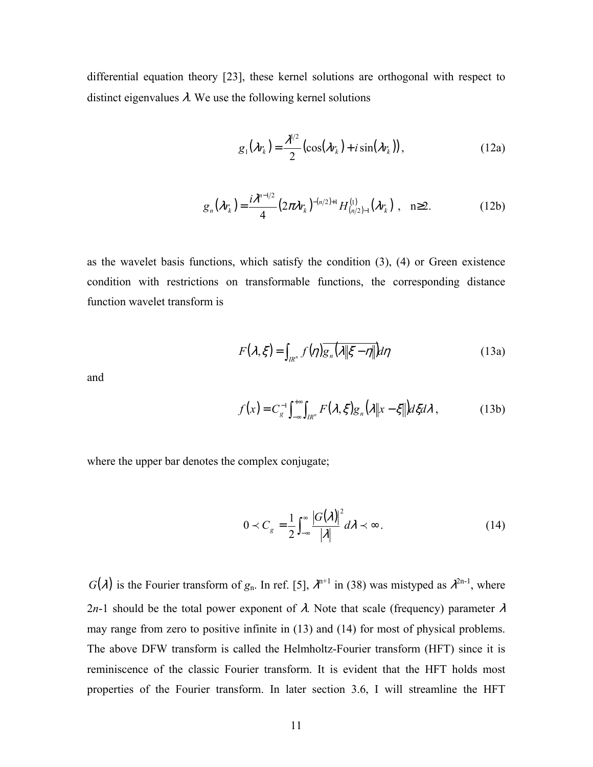differential equation theory [23], these kernel solutions are orthogonal with respect to distinct eigenvalues  $\lambda$ . We use the following kernel solutions

$$
g_1(\lambda r_k) = \frac{\lambda^{1/2}}{2} \left( \cos(\lambda r_k) + i \sin(\lambda r_k) \right), \tag{12a}
$$

$$
g_n(\lambda r_k) = \frac{i\lambda^{n-1/2}}{4} \left(2\pi\lambda r_k\right)^{-(n/2)+1} H_{(n/2)-1}^{(1)}(\lambda r_k) , \quad n \ge 2.
$$
 (12b)

as the wavelet basis functions, which satisfy the condition (3), (4) or Green existence condition with restrictions on transformable functions, the corresponding distance function wavelet transform is

$$
F(\lambda, \xi) = \int_{I R^n} f(\eta) \overline{g_n(\lambda \|\xi - \eta\|)} d\eta
$$
 (13a)

and

$$
f(x) = C_{g}^{-1} \int_{-\infty}^{+\infty} \int_{IR^{n}} F(\lambda, \xi) g_{n}(\lambda \| x - \xi \|) d\xi d\lambda ,
$$
 (13b)

where the upper bar denotes the complex conjugate;

$$
0 \prec C_{g} = \frac{1}{2} \int_{-\infty}^{\infty} \frac{|G(\lambda)|^{2}}{|\lambda|} d\lambda \prec \infty.
$$
 (14)

 $G(\lambda)$  is the Fourier transform of  $g_n$ . In ref. [5],  $\lambda^{n+1}$  in (38) was mistyped as  $\lambda^{2n-1}$ , where 2*n*-1 should be the total power exponent of  $\lambda$ . Note that scale (frequency) parameter  $\lambda$ may range from zero to positive infinite in (13) and (14) for most of physical problems. The above DFW transform is called the Helmholtz-Fourier transform (HFT) since it is reminiscence of the classic Fourier transform. It is evident that the HFT holds most properties of the Fourier transform. In later section 3.6, I will streamline the HFT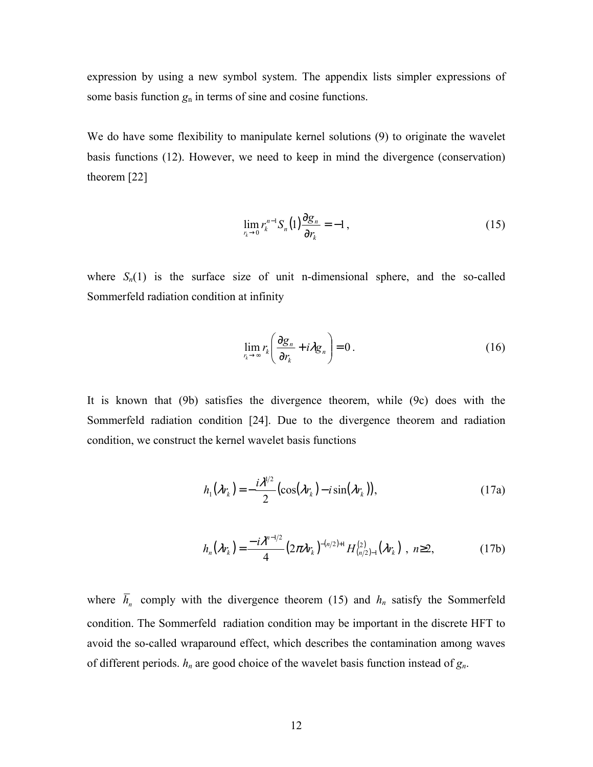expression by using a new symbol system. The appendix lists simpler expressions of some basis function  $g_n$  in terms of sine and cosine functions.

We do have some flexibility to manipulate kernel solutions (9) to originate the wavelet basis functions (12). However, we need to keep in mind the divergence (conservation) theorem [22]

$$
\lim_{r_k \to 0} r_k^{n-1} S_n(1) \frac{\partial g_n}{\partial r_k} = -1, \qquad (15)
$$

where  $S_n(1)$  is the surface size of unit n-dimensional sphere, and the so-called Sommerfeld radiation condition at infinity

$$
\lim_{r_k \to \infty} r_k \left( \frac{\partial g_n}{\partial r_k} + i \lambda g_n \right) = 0 \,. \tag{16}
$$

It is known that (9b) satisfies the divergence theorem, while (9c) does with the Sommerfeld radiation condition [24]. Due to the divergence theorem and radiation condition, we construct the kernel wavelet basis functions

$$
h_1(\lambda r_k) = -\frac{i\lambda^{1/2}}{2} \left( \cos(\lambda r_k) - i \sin(\lambda r_k) \right),\tag{17a}
$$

$$
h_n(\lambda r_k) = \frac{-i\lambda^{n-1/2}}{4} \left(2\pi\lambda r_k\right)^{-(n/2)+1} H_{(n/2)-1}^{(2)}(\lambda r_k) , \quad n \ge 2, \tag{17b}
$$

where  $\overline{h}_n$  comply with the divergence theorem (15) and  $h_n$  satisfy the Sommerfeld condition. The Sommerfeld radiation condition may be important in the discrete HFT to avoid the so-called wraparound effect, which describes the contamination among waves of different periods. *hn* are good choice of the wavelet basis function instead of *gn*.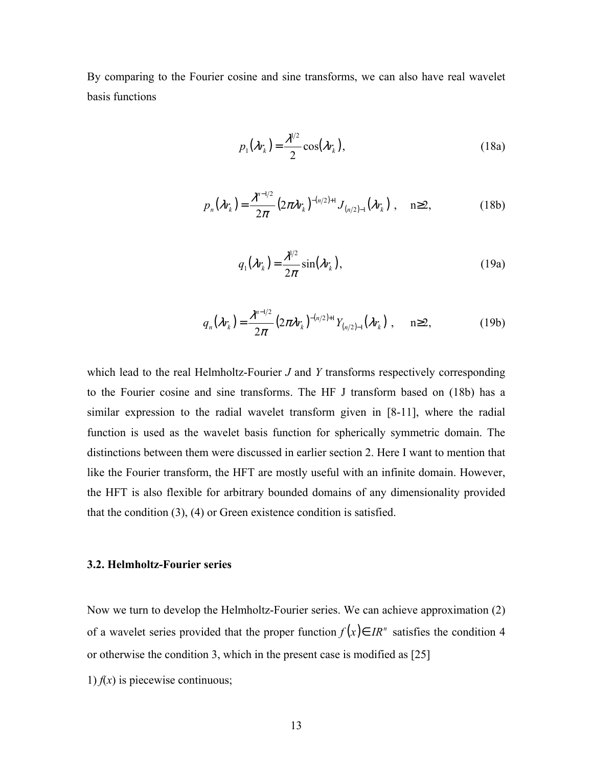By comparing to the Fourier cosine and sine transforms, we can also have real wavelet basis functions

$$
p_1(\lambda r_k) = \frac{\lambda^{1/2}}{2} \cos(\lambda r_k), \qquad (18a)
$$

$$
p_n(\lambda r_k) = \frac{\lambda^{n-1/2}}{2\pi} \left(2\pi\lambda r_k\right)^{-(n/2)+1} J_{(n/2)-1}(\lambda r_k) , \quad n \ge 2,
$$
 (18b)

$$
q_1(\lambda r_k) = \frac{\lambda^{1/2}}{2\pi} \sin(\lambda r_k), \qquad (19a)
$$

$$
q_n(\lambda r_k) = \frac{\lambda^{n-1/2}}{2\pi} (2\pi \lambda r_k)^{-(n/2)+1} Y_{(n/2)-1}(\lambda r_k) , \quad n \ge 2,
$$
 (19b)

which lead to the real Helmholtz-Fourier *J* and *Y* transforms respectively corresponding to the Fourier cosine and sine transforms. The HF J transform based on (18b) has a similar expression to the radial wavelet transform given in [8-11], where the radial function is used as the wavelet basis function for spherically symmetric domain. The distinctions between them were discussed in earlier section 2. Here I want to mention that like the Fourier transform, the HFT are mostly useful with an infinite domain. However, the HFT is also flexible for arbitrary bounded domains of any dimensionality provided that the condition (3), (4) or Green existence condition is satisfied.

#### **3.2. Helmholtz-Fourier series**

Now we turn to develop the Helmholtz-Fourier series. We can achieve approximation (2) of a wavelet series provided that the proper function  $f(x) \in IR^n$  satisfies the condition 4 or otherwise the condition 3, which in the present case is modified as [25]

1)  $f(x)$  is piecewise continuous;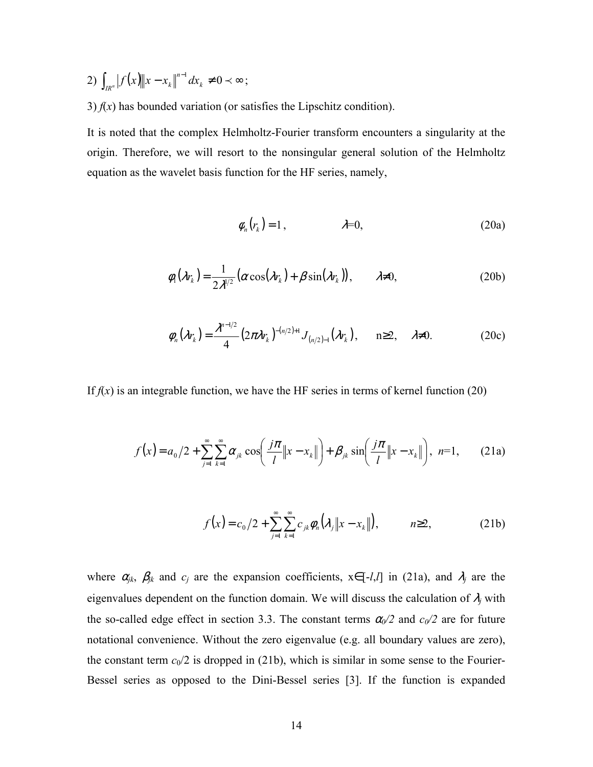- 2)  $\int_{\mathbb{R}^n} |f(x)||x x_k||^{n-1} dx_k \neq 0 \prec \infty$  $\lim_{x \to R^n} |J(x) - \lambda_k|$   $\lim_{k \to \infty}$  $f(x)$   $||x - x_k||^{n-1} dx_k \neq 0 \lt \infty$ ;
- 3)  $f(x)$  has bounded variation (or satisfies the Lipschitz condition).

It is noted that the complex Helmholtz-Fourier transform encounters a singularity at the origin. Therefore, we will resort to the nonsingular general solution of the Helmholtz equation as the wavelet basis function for the HF series, namely,

$$
\phi_n(r_k) = 1, \qquad \lambda = 0, \tag{20a}
$$

$$
\phi_1(\lambda r_k) = \frac{1}{2\lambda^{1/2}} \left( \alpha \cos(\lambda r_k) + \beta \sin(\lambda r_k) \right), \qquad \lambda \neq 0,
$$
 (20b)

$$
\phi_n(\lambda r_k) = \frac{\lambda^{n-1/2}}{4} \left( 2\pi \lambda r_k \right)^{-(n/2)+1} J_{(n/2)-1}(\lambda r_k), \quad n \ge 2, \quad \lambda \ne 0. \tag{20c}
$$

If  $f(x)$  is an integrable function, we have the HF series in terms of kernel function (20)

$$
f(x) = a_0/2 + \sum_{j=1}^{\infty} \sum_{k=1}^{\infty} \alpha_{jk} \cos\left(\frac{j\pi}{l} \|x - x_k\|\right) + \beta_{jk} \sin\left(\frac{j\pi}{l} \|x - x_k\|\right), \ \ n=1, \qquad (21a)
$$

$$
f(x) = c_0/2 + \sum_{j=1}^{\infty} \sum_{k=1}^{\infty} c_{jk} \phi_n(\lambda_j \|x - x_k\|), \qquad n \ge 2,
$$
 (21b)

where  $\alpha_{jk}$ ,  $\beta_{jk}$  and  $c_j$  are the expansion coefficients,  $x \in [-l, l]$  in (21a), and  $\lambda_j$  are the eigenvalues dependent on the function domain. We will discuss the calculation of  $\lambda_j$  with the so-called edge effect in section 3.3. The constant terms  $\alpha_0/2$  and  $c_0/2$  are for future notational convenience. Without the zero eigenvalue (e.g. all boundary values are zero), the constant term  $c_0/2$  is dropped in (21b), which is similar in some sense to the Fourier-Bessel series as opposed to the Dini-Bessel series [3]. If the function is expanded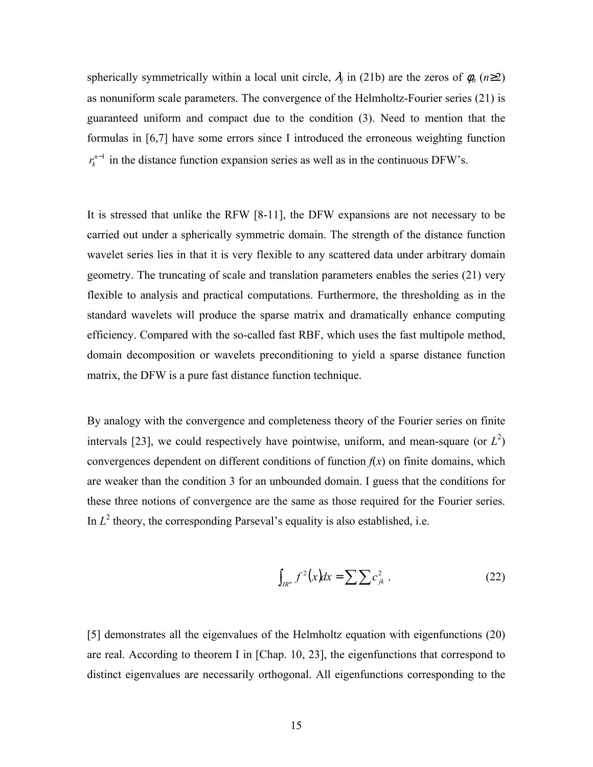spherically symmetrically within a local unit circle,  $\lambda_j$  in (21b) are the zeros of  $\phi_n$  (*n*≥2) as nonuniform scale parameters. The convergence of the Helmholtz-Fourier series (21) is guaranteed uniform and compact due to the condition (3). Need to mention that the formulas in [6,7] have some errors since I introduced the erroneous weighting function  $r_k^{n-1}$  in the distance function expansion series as well as in the continuous DFW's.

It is stressed that unlike the RFW [8-11], the DFW expansions are not necessary to be carried out under a spherically symmetric domain. The strength of the distance function wavelet series lies in that it is very flexible to any scattered data under arbitrary domain geometry. The truncating of scale and translation parameters enables the series (21) very flexible to analysis and practical computations. Furthermore, the thresholding as in the standard wavelets will produce the sparse matrix and dramatically enhance computing efficiency. Compared with the so-called fast RBF, which uses the fast multipole method, domain decomposition or wavelets preconditioning to yield a sparse distance function matrix, the DFW is a pure fast distance function technique.

By analogy with the convergence and completeness theory of the Fourier series on finite intervals [23], we could respectively have pointwise, uniform, and mean-square (or  $L^2$ ) convergences dependent on different conditions of function  $f(x)$  on finite domains, which are weaker than the condition 3 for an unbounded domain. I guess that the conditions for these three notions of convergence are the same as those required for the Fourier series. In  $L^2$  theory, the corresponding Parseval's equality is also established, i.e.

$$
\int_{I R^n} f^2(x) dx = \sum \sum c_{jk}^2 . \tag{22}
$$

[5] demonstrates all the eigenvalues of the Helmholtz equation with eigenfunctions (20) are real. According to theorem I in [Chap. 10, 23], the eigenfunctions that correspond to distinct eigenvalues are necessarily orthogonal. All eigenfunctions corresponding to the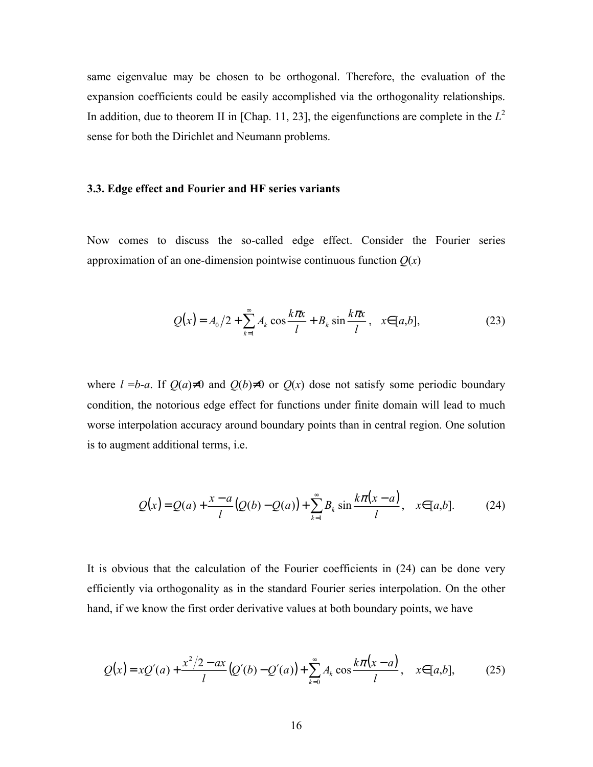same eigenvalue may be chosen to be orthogonal. Therefore, the evaluation of the expansion coefficients could be easily accomplished via the orthogonality relationships. In addition, due to theorem II in [Chap. 11, 23], the eigenfunctions are complete in the  $L^2$ sense for both the Dirichlet and Neumann problems.

#### **3.3. Edge effect and Fourier and HF series variants**

Now comes to discuss the so-called edge effect. Consider the Fourier series approximation of an one-dimension pointwise continuous function  $Q(x)$ 

$$
Q(x) = A_0/2 + \sum_{k=1}^{\infty} A_k \cos \frac{k\pi x}{l} + B_k \sin \frac{k\pi x}{l}, \quad x \in [a, b],
$$
 (23)

where  $l = b-a$ . If  $Q(a) \neq 0$  and  $Q(b) \neq 0$  or  $Q(x)$  dose not satisfy some periodic boundary condition, the notorious edge effect for functions under finite domain will lead to much worse interpolation accuracy around boundary points than in central region. One solution is to augment additional terms, i.e.

$$
Q(x) = Q(a) + \frac{x - a}{l} (Q(b) - Q(a)) + \sum_{k=1}^{\infty} B_k \sin \frac{k\pi (x - a)}{l}, \quad x \in [a, b].
$$
 (24)

It is obvious that the calculation of the Fourier coefficients in (24) can be done very efficiently via orthogonality as in the standard Fourier series interpolation. On the other hand, if we know the first order derivative values at both boundary points, we have

$$
Q(x) = xQ'(a) + \frac{x^2/2 - ax}{l}(Q'(b) - Q'(a)) + \sum_{k=0}^{\infty} A_k \cos \frac{k\pi(x-a)}{l}, \quad x \in [a,b],
$$
 (25)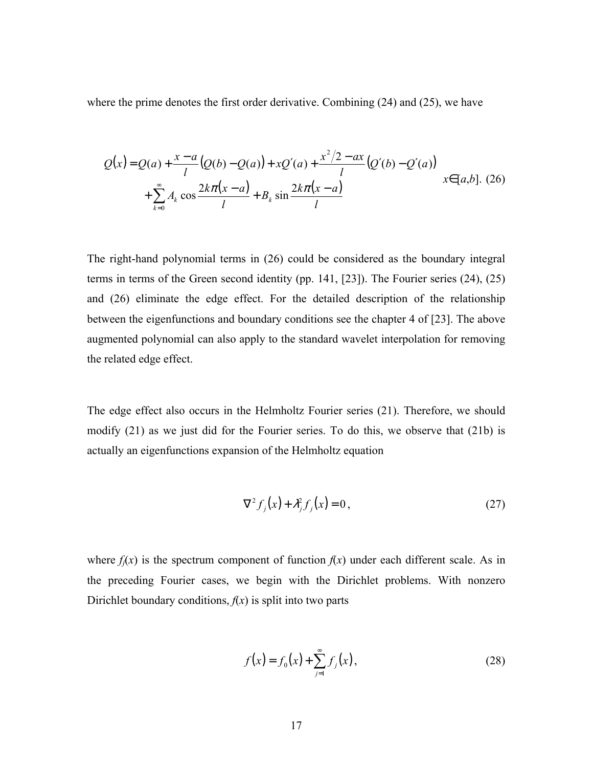where the prime denotes the first order derivative. Combining (24) and (25), we have

$$
Q(x) = Q(a) + \frac{x-a}{l} (Q(b) - Q(a)) + xQ'(a) + \frac{x^2/2 - ax}{l} (Q'(b) - Q'(a))
$$
  
+ 
$$
\sum_{k=0}^{\infty} A_k \cos \frac{2k\pi(x-a)}{l} + B_k \sin \frac{2k\pi(x-a)}{l}
$$
  $x \in [a,b]$ . (26)

The right-hand polynomial terms in (26) could be considered as the boundary integral terms in terms of the Green second identity (pp. 141, [23]). The Fourier series (24), (25) and (26) eliminate the edge effect. For the detailed description of the relationship between the eigenfunctions and boundary conditions see the chapter 4 of [23]. The above augmented polynomial can also apply to the standard wavelet interpolation for removing the related edge effect.

The edge effect also occurs in the Helmholtz Fourier series (21). Therefore, we should modify (21) as we just did for the Fourier series. To do this, we observe that (21b) is actually an eigenfunctions expansion of the Helmholtz equation

$$
\nabla^2 f_j(x) + \lambda_j^2 f_j(x) = 0, \qquad (27)
$$

where  $f_i(x)$  is the spectrum component of function  $f(x)$  under each different scale. As in the preceding Fourier cases, we begin with the Dirichlet problems. With nonzero Dirichlet boundary conditions,  $f(x)$  is split into two parts

$$
f(x) = f_0(x) + \sum_{j=1}^{\infty} f_j(x),
$$
 (28)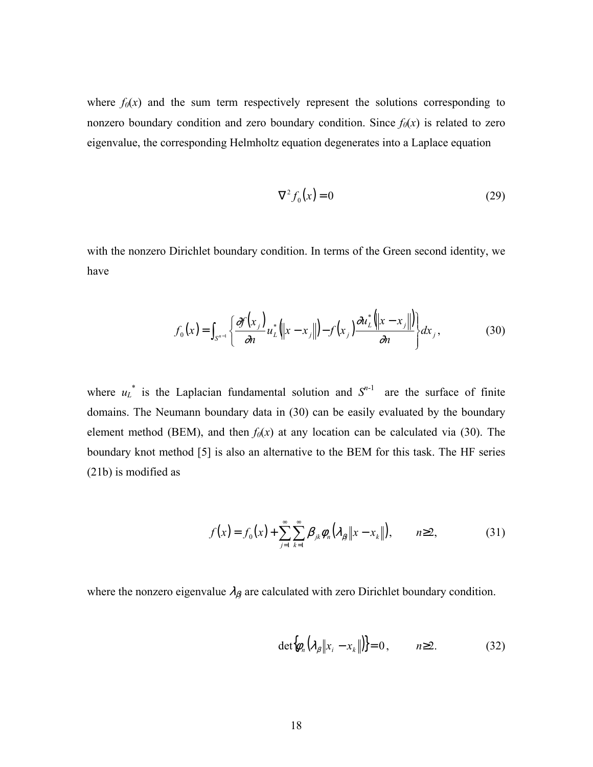where  $f_0(x)$  and the sum term respectively represent the solutions corresponding to nonzero boundary condition and zero boundary condition. Since  $f_0(x)$  is related to zero eigenvalue, the corresponding Helmholtz equation degenerates into a Laplace equation

$$
\nabla^2 f_0(x) = 0\tag{29}
$$

with the nonzero Dirichlet boundary condition. In terms of the Green second identity, we have

$$
f_0(x) = \int_{S^{n-1}} \left\{ \frac{\partial f(x_j)}{\partial n} u_L^* \left( \left\| x - x_j \right\| \right) - f(x_j) \frac{\partial u_L^* \left( \left\| x - x_j \right\| \right)}{\partial n} \right\} dx_j, \tag{30}
$$

where  $u_L^*$  is the Laplacian fundamental solution and  $S^{n-1}$  are the surface of finite domains. The Neumann boundary data in (30) can be easily evaluated by the boundary element method (BEM), and then  $f_0(x)$  at any location can be calculated via (30). The boundary knot method [5] is also an alternative to the BEM for this task. The HF series (21b) is modified as

$$
f(x) = f_0(x) + \sum_{j=1}^{\infty} \sum_{k=1}^{\infty} \beta_{jk} \phi_n(\lambda_{\beta} \|x - x_k\|), \qquad n \ge 2,
$$
 (31)

where the nonzero eigenvalue  $\lambda_{\beta j}$  are calculated with zero Dirichlet boundary condition.

$$
\det \{\phi_n \big(\lambda_\beta \|x_i - x_k\|\big) \} = 0, \qquad n \ge 2. \tag{32}
$$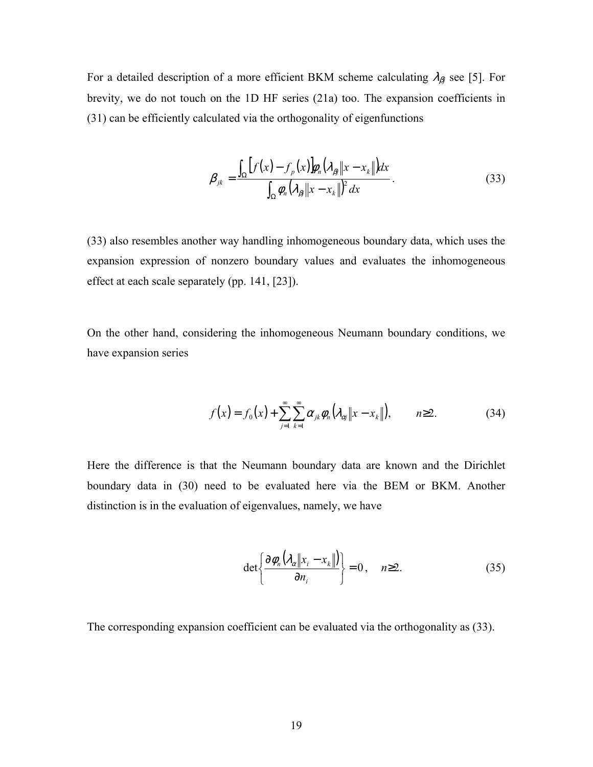For a detailed description of a more efficient BKM scheme calculating  $\lambda_{\beta}$  see [5]. For brevity, we do not touch on the 1D HF series (21a) too. The expansion coefficients in (31) can be efficiently calculated via the orthogonality of eigenfunctions

$$
\beta_{jk} = \frac{\int_{\Omega} \left[ f(x) - f_{p}(x) \right] \phi_{n} \left( \lambda_{\beta} \| x - x_{k} \| \right) dx}{\int_{\Omega} \phi_{n} \left( \lambda_{\beta} \| x - x_{k} \| \right)^{2} dx}.
$$
\n(33)

(33) also resembles another way handling inhomogeneous boundary data, which uses the expansion expression of nonzero boundary values and evaluates the inhomogeneous effect at each scale separately (pp. 141, [23]).

On the other hand, considering the inhomogeneous Neumann boundary conditions, we have expansion series

$$
f(x) = f_0(x) + \sum_{j=1}^{\infty} \sum_{k=1}^{\infty} \alpha_{jk} \phi_n(\lambda_{\alpha j} || x - x_k ||), \qquad n \ge 2.
$$
 (34)

Here the difference is that the Neumann boundary data are known and the Dirichlet boundary data in (30) need to be evaluated here via the BEM or BKM. Another distinction is in the evaluation of eigenvalues, namely, we have

$$
\det \left\{ \frac{\partial \phi_n \big( \lambda_\alpha \big\| x_i - x_k \big\| \big)}{\partial n_i} \right\} = 0, \quad n \ge 2. \tag{35}
$$

The corresponding expansion coefficient can be evaluated via the orthogonality as (33).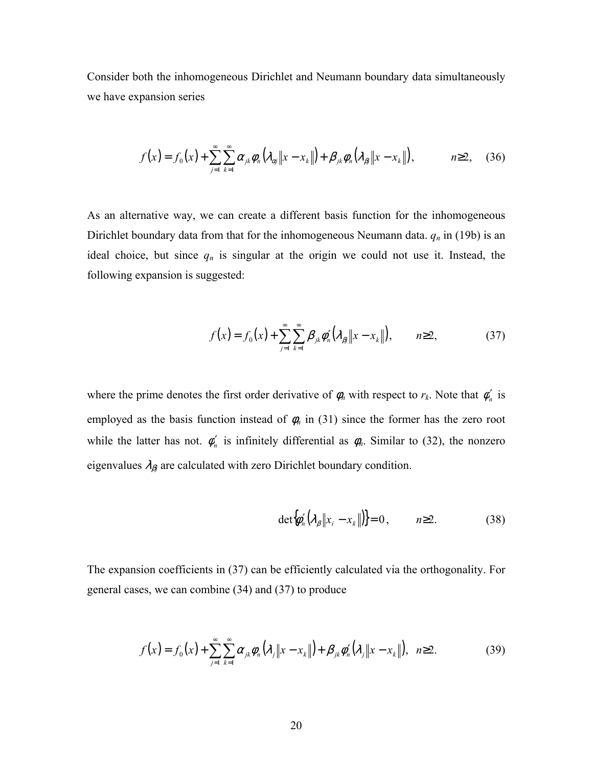Consider both the inhomogeneous Dirichlet and Neumann boundary data simultaneously we have expansion series

$$
f(x) = f_0(x) + \sum_{j=1}^{\infty} \sum_{k=1}^{\infty} \alpha_{jk} \phi_n(\lambda_{\alpha j} \|x - x_k\|) + \beta_{jk} \phi_n(\lambda_{\beta j} \|x - x_k\|), \qquad n \ge 2, \quad (36)
$$

As an alternative way, we can create a different basis function for the inhomogeneous Dirichlet boundary data from that for the inhomogeneous Neumann data.  $q_n$  in (19b) is an ideal choice, but since  $q_n$  is singular at the origin we could not use it. Instead, the following expansion is suggested:

$$
f(x) = f_0(x) + \sum_{j=1}^{\infty} \sum_{k=1}^{\infty} \beta_{jk} \phi'_n(\lambda_{\beta} \| x - x_k \|), \qquad n \ge 2,
$$
 (37)

where the prime denotes the first order derivative of  $\phi_n$  with respect to  $r_k$ . Note that  $\phi'_n$  is employed as the basis function instead of  $\phi_n$  in (31) since the former has the zero root while the latter has not.  $\phi'_n$  is infinitely differential as  $\phi_n$ . Similar to (32), the nonzero eigenvalues  $\lambda_{\beta j}$  are calculated with zero Dirichlet boundary condition.

$$
\det \{\phi_n'(\lambda_\beta \|x_i - x_k\|\} = 0, \qquad n \ge 2. \tag{38}
$$

The expansion coefficients in (37) can be efficiently calculated via the orthogonality. For general cases, we can combine (34) and (37) to produce

$$
f(x) = f_0(x) + \sum_{j=1}^{\infty} \sum_{k=1}^{\infty} \alpha_{jk} \phi_n(\lambda_j \|x - x_k\|) + \beta_{jk} \phi_n'(\lambda_j \|x - x_k\|), \ \ n \ge 2. \tag{39}
$$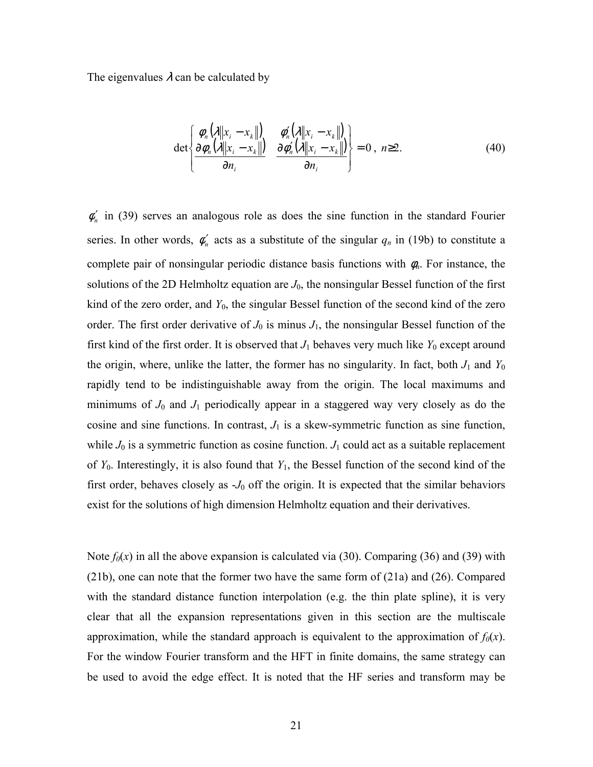The eigenvalues  $\lambda$  can be calculated by

$$
\det \left\{ \frac{\phi_n(\lambda \|x_i - x_k\|)}{\partial \phi_n(\lambda \|x_i - x_k\|)} \cdot \frac{\phi_n'(\lambda \|x_i - x_k\|)}{\partial \phi_n'(\lambda \|x_i - x_k\|)} \right\} = 0, \quad n \ge 2. \tag{40}
$$

 $\phi'_n$  in (39) serves an analogous role as does the sine function in the standard Fourier series. In other words,  $\phi'_n$  acts as a substitute of the singular  $q_n$  in (19b) to constitute a complete pair of nonsingular periodic distance basis functions with φ*n*. For instance, the solutions of the 2D Helmholtz equation are  $J_0$ , the nonsingular Bessel function of the first kind of the zero order, and *Y*0, the singular Bessel function of the second kind of the zero order. The first order derivative of  $J_0$  is minus  $J_1$ , the nonsingular Bessel function of the first kind of the first order. It is observed that  $J_1$  behaves very much like  $Y_0$  except around the origin, where, unlike the latter, the former has no singularity. In fact, both  $J_1$  and  $Y_0$ rapidly tend to be indistinguishable away from the origin. The local maximums and minimums of  $J_0$  and  $J_1$  periodically appear in a staggered way very closely as do the cosine and sine functions. In contrast,  $J_1$  is a skew-symmetric function as sine function, while  $J_0$  is a symmetric function as cosine function.  $J_1$  could act as a suitable replacement of *Y*0. Interestingly, it is also found that *Y*1, the Bessel function of the second kind of the first order, behaves closely as  $-J_0$  off the origin. It is expected that the similar behaviors exist for the solutions of high dimension Helmholtz equation and their derivatives.

Note  $f_0(x)$  in all the above expansion is calculated via (30). Comparing (36) and (39) with (21b), one can note that the former two have the same form of (21a) and (26). Compared with the standard distance function interpolation (e.g. the thin plate spline), it is very clear that all the expansion representations given in this section are the multiscale approximation, while the standard approach is equivalent to the approximation of  $f_0(x)$ . For the window Fourier transform and the HFT in finite domains, the same strategy can be used to avoid the edge effect. It is noted that the HF series and transform may be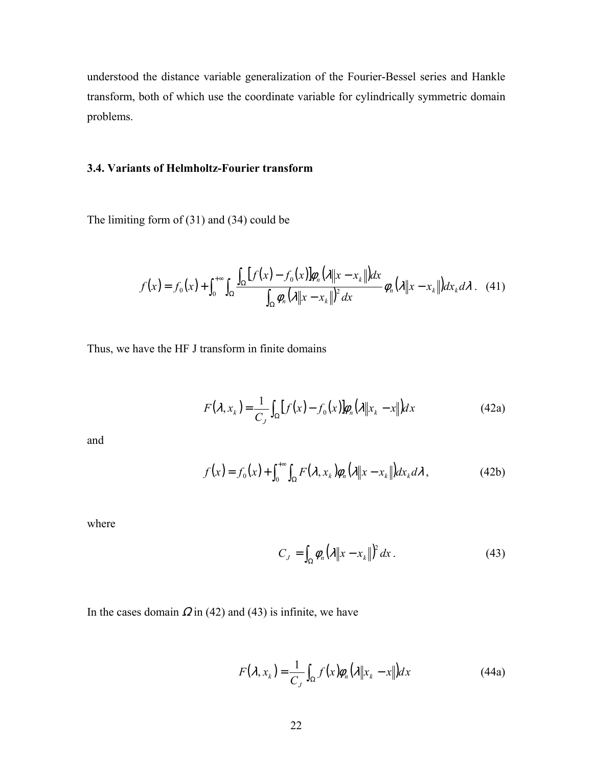understood the distance variable generalization of the Fourier-Bessel series and Hankle transform, both of which use the coordinate variable for cylindrically symmetric domain problems.

## **3.4. Variants of Helmholtz-Fourier transform**

The limiting form of (31) and (34) could be

$$
f(x) = f_0(x) + \int_0^{+\infty} \int_{\Omega} \frac{\int_{\Omega} [f(x) - f_0(x)] \phi_n(\lambda \|x - x_k\|) dx}{\int_{\Omega} \phi_n(\lambda \|x - x_k\|)^2 dx} \phi_n(\lambda \|x - x_k\|) dx_k d\lambda. \tag{41}
$$

Thus, we have the HF J transform in finite domains

$$
F(\lambda, x_k) = \frac{1}{C_J} \int_{\Omega} [f(x) - f_0(x)] \phi_n(\lambda \|x_k - x\|) dx
$$
 (42a)

and

$$
f(x) = f_0(x) + \int_0^{+\infty} \int_{\Omega} F(\lambda, x_k) \phi_n(\lambda \| x - x_k \|) dx_k d\lambda,
$$
 (42b)

where

$$
C_J = \int_{\Omega} \phi_n \left( \lambda \| x - x_k \|^2 \right) dx. \tag{43}
$$

In the cases domain  $\Omega$  in (42) and (43) is infinite, we have

$$
F(\lambda, x_k) = \frac{1}{C_J} \int_{\Omega} f(x) \phi_n(\lambda \| x_k - x \|) dx
$$
 (44a)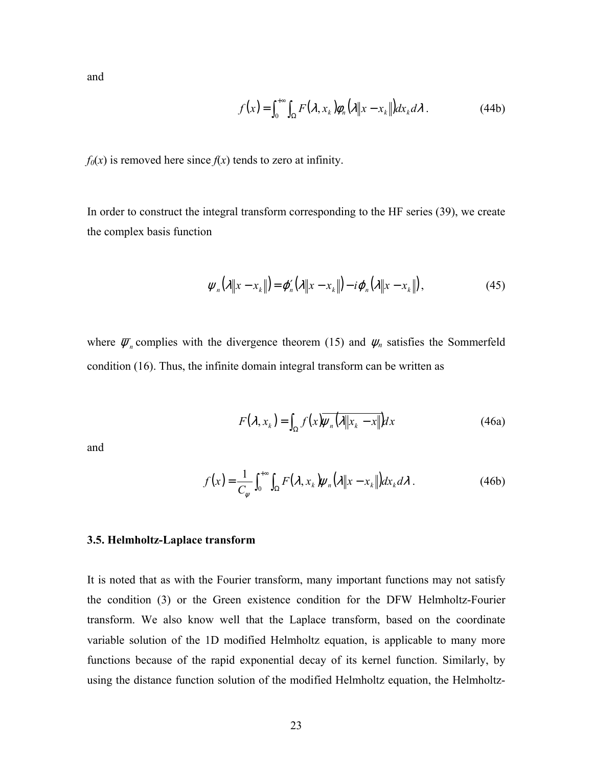and

$$
f(x) = \int_0^{+\infty} \int_{\Omega} F(\lambda, x_k) \phi_n(\lambda \| x - x_k \|) dx_k d\lambda.
$$
 (44b)

 $f_0(x)$  is removed here since  $f(x)$  tends to zero at infinity.

In order to construct the integral transform corresponding to the HF series (39), we create the complex basis function

$$
\boldsymbol{\psi}_n(\lambda \|\boldsymbol{x} - \boldsymbol{x}_k\|) = \boldsymbol{\varphi}_n'(\lambda \|\boldsymbol{x} - \boldsymbol{x}_k\|) - i \boldsymbol{\varphi}_n(\lambda \|\boldsymbol{x} - \boldsymbol{x}_k\|), \tag{45}
$$

where  $\overline{\psi}_n$  complies with the divergence theorem (15) and  $\psi_n$  satisfies the Sommerfeld condition (16). Thus, the infinite domain integral transform can be written as

$$
F(\lambda, x_k) = \int_{\Omega} f(x) \overline{\psi_n(\lambda \|x_k - x\|)} dx
$$
 (46a)

and

$$
f(x) = \frac{1}{C_{\psi}} \int_0^{+\infty} \int_{\Omega} F(\lambda, x_k) \psi_n(\lambda \| x - x_k \|) dx_k d\lambda.
$$
 (46b)

#### **3.5. Helmholtz-Laplace transform**

It is noted that as with the Fourier transform, many important functions may not satisfy the condition (3) or the Green existence condition for the DFW Helmholtz-Fourier transform. We also know well that the Laplace transform, based on the coordinate variable solution of the 1D modified Helmholtz equation, is applicable to many more functions because of the rapid exponential decay of its kernel function. Similarly, by using the distance function solution of the modified Helmholtz equation, the Helmholtz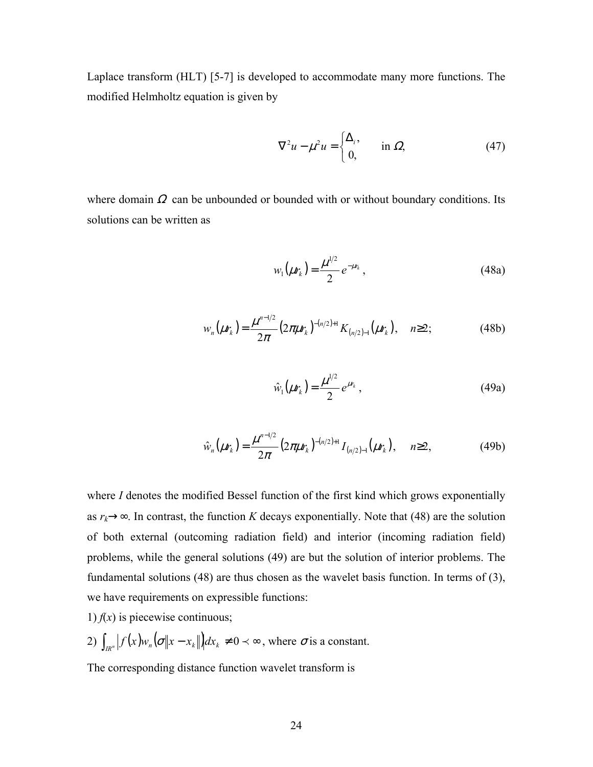Laplace transform (HLT) [5-7] is developed to accommodate many more functions. The modified Helmholtz equation is given by

$$
\nabla^2 u - \mu^2 u = \begin{cases} \Delta_i, & \text{in } \Omega, \\ 0, & \text{in } \Omega. \end{cases}
$$
 (47)

where domain  $\Omega$  can be unbounded or bounded with or without boundary conditions. Its solutions can be written as

$$
w_1(\mu r_k) = \frac{\mu^{1/2}}{2} e^{-\mu r_k},
$$
\n(48a)

$$
w_n(\mu r_k) = \frac{\mu^{n-1/2}}{2\pi} \left(2\pi\mu r_k\right)^{-(n/2)+1} K_{(n/2)-1}(\mu r_k), \quad n \ge 2; \tag{48b}
$$

$$
\hat{w}_1(\mu r_k) = \frac{\mu^{1/2}}{2} e^{\mu r_k}, \qquad (49a)
$$

$$
\hat{w}_n(\mu r_k) = \frac{\mu^{n-1/2}}{2\pi} \left(2\pi\mu r_k\right)^{-(n/2)+1} I_{(n/2)-1}(\mu r_k), \quad n \ge 2,
$$
\n(49b)

where *I* denotes the modified Bessel function of the first kind which grows exponentially as  $r_k \rightarrow \infty$ . In contrast, the function *K* decays exponentially. Note that (48) are the solution of both external (outcoming radiation field) and interior (incoming radiation field) problems, while the general solutions (49) are but the solution of interior problems. The fundamental solutions (48) are thus chosen as the wavelet basis function. In terms of (3), we have requirements on expressible functions:

1)  $f(x)$  is piecewise continuous;

2) 
$$
\int_{I R^n} |f(x) w_n(\sigma \|x - x_k\|) dx_k \neq 0 \prec \infty
$$
, where  $\sigma$  is a constant.

The corresponding distance function wavelet transform is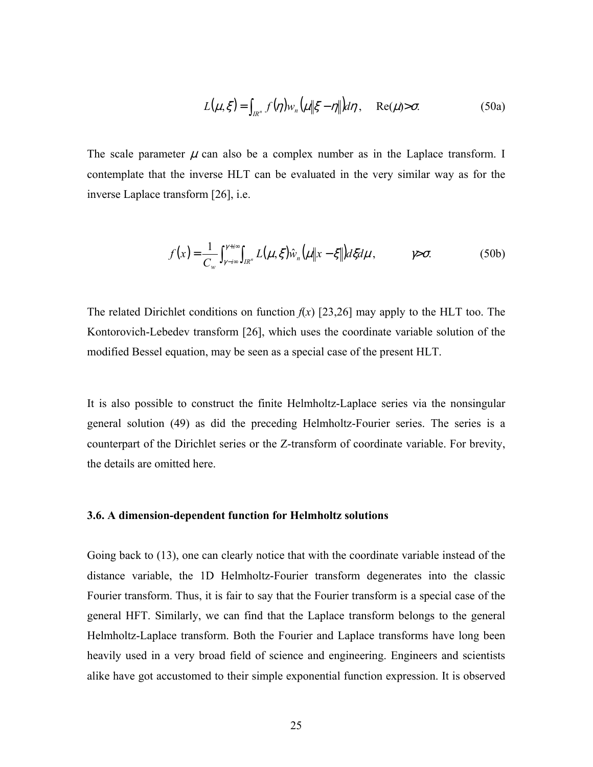$$
L(\mu, \xi) = \int_{R^n} f(\eta) w_n \left( \mu \| \xi - \eta \| \right) d\eta, \quad \text{Re}(\mu) > \sigma. \tag{50a}
$$

The scale parameter  $\mu$  can also be a complex number as in the Laplace transform. I contemplate that the inverse HLT can be evaluated in the very similar way as for the inverse Laplace transform [26], i.e.

$$
f(x) = \frac{1}{C_w} \int_{\gamma - i\infty}^{\gamma + i\infty} \int_{I R^n} L(\mu, \xi) \hat{w}_n(\mu \| x - \xi \|) d\xi d\mu, \qquad \gamma > \sigma. \tag{50b}
$$

The related Dirichlet conditions on function  $f(x)$  [23,26] may apply to the HLT too. The Kontorovich-Lebedev transform [26], which uses the coordinate variable solution of the modified Bessel equation, may be seen as a special case of the present HLT.

It is also possible to construct the finite Helmholtz-Laplace series via the nonsingular general solution (49) as did the preceding Helmholtz-Fourier series. The series is a counterpart of the Dirichlet series or the Z-transform of coordinate variable. For brevity, the details are omitted here.

#### **3.6. A dimension-dependent function for Helmholtz solutions**

Going back to (13), one can clearly notice that with the coordinate variable instead of the distance variable, the 1D Helmholtz-Fourier transform degenerates into the classic Fourier transform. Thus, it is fair to say that the Fourier transform is a special case of the general HFT. Similarly, we can find that the Laplace transform belongs to the general Helmholtz-Laplace transform. Both the Fourier and Laplace transforms have long been heavily used in a very broad field of science and engineering. Engineers and scientists alike have got accustomed to their simple exponential function expression. It is observed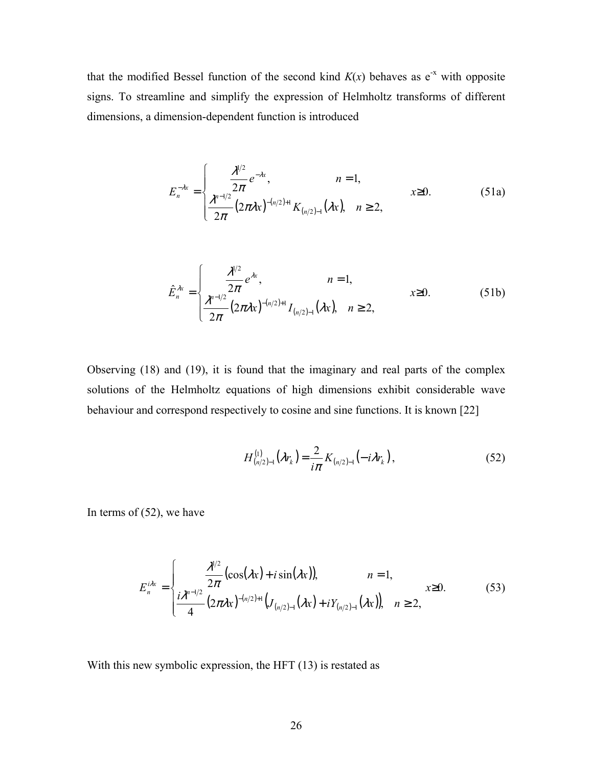that the modified Bessel function of the second kind  $K(x)$  behaves as  $e^{-x}$  with opposite signs. To streamline and simplify the expression of Helmholtz transforms of different dimensions, a dimension-dependent function is introduced

$$
E_n^{-\lambda x} = \begin{cases} \frac{\lambda^{1/2}}{2\pi} e^{-\lambda x}, & n = 1, \\ \frac{\lambda^{n-1/2}}{2\pi} (2\pi \lambda x)^{-(n/2)+1} K_{(n/2)-1}(\lambda x), & n \ge 2, \end{cases}
$$
 (51a)

$$
\hat{E}_n^{\lambda x} = \begin{cases}\n\frac{\lambda^{1/2}}{2\pi} e^{\lambda x}, & n = 1, \\
\frac{\lambda^{n-1/2}}{2\pi} (2\pi \lambda x)^{-(n/2)+1} I_{(n/2)-1}(\lambda x), & n \ge 2,\n\end{cases}
$$
\n(51b)

Observing (18) and (19), it is found that the imaginary and real parts of the complex solutions of the Helmholtz equations of high dimensions exhibit considerable wave behaviour and correspond respectively to cosine and sine functions. It is known [22]

$$
H_{(n/2)-1}^{(1)}(\lambda r_k) = \frac{2}{i\pi} K_{(n/2)-1}(-i\lambda r_k), \qquad (52)
$$

In terms of  $(52)$ , we have

$$
E_n^{i\lambda x} = \begin{cases} \frac{\lambda^{1/2}}{2\pi} (\cos(\lambda x) + i \sin(\lambda x)), & n = 1, \\ \frac{i\lambda^{n-1/2}}{4} (2\pi\lambda x)^{-(n/2)+1} (J_{(n/2)-1}(\lambda x) + i Y_{(n/2)-1}(\lambda x)), & n \ge 2, \end{cases}
$$
(53)

With this new symbolic expression, the HFT (13) is restated as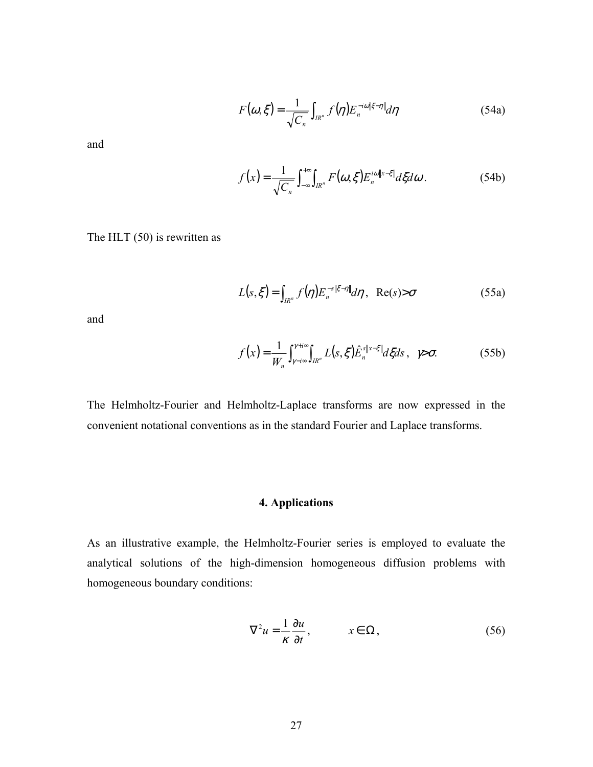$$
F(\omega,\xi) = \frac{1}{\sqrt{C_n}} \int_{I\mathbb{R}^n} f(\eta) E_n^{-i\omega\|\xi-\eta\|} d\eta
$$
 (54a)

and

$$
f(x) = \frac{1}{\sqrt{C_n}} \int_{-\infty}^{+\infty} \int_{IR^n} F(\omega, \xi) E_n^{i\omega \| x - \xi \|} d\xi d\omega.
$$
 (54b)

The HLT (50) is rewritten as

$$
L(s,\xi) = \int_{IR^n} f(\eta) E_n^{-s\|\xi-\eta\|} d\eta, \quad \text{Re}(s) > \sigma \tag{55a}
$$

and

$$
f(x) = \frac{1}{W_n} \int_{\gamma - i\infty}^{\gamma + i\infty} \int_{\mathbb{R}^n} L(s, \xi) \hat{E}_n^{s \| x - \xi \|} d\xi ds, \quad \gamma > \sigma. \tag{55b}
$$

The Helmholtz-Fourier and Helmholtz-Laplace transforms are now expressed in the convenient notational conventions as in the standard Fourier and Laplace transforms.

## **4. Applications**

As an illustrative example, the Helmholtz-Fourier series is employed to evaluate the analytical solutions of the high-dimension homogeneous diffusion problems with homogeneous boundary conditions:

$$
\nabla^2 u = \frac{1}{\kappa} \frac{\partial u}{\partial t}, \qquad x \in \Omega, \tag{56}
$$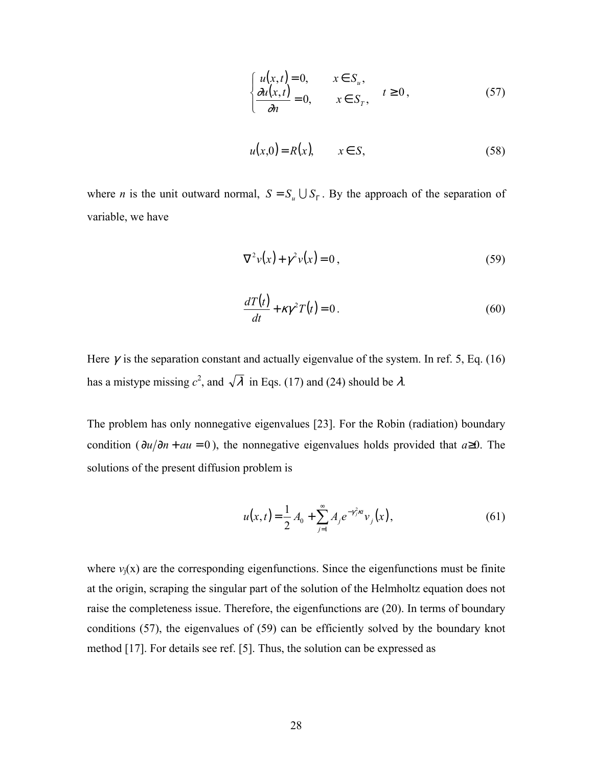$$
\begin{cases}\n u(x,t) = 0, & x \in S_u, \\
 \frac{\partial u(x,t)}{\partial n} = 0, & x \in S_T, \\
\end{cases} \quad t \ge 0,
$$
\n(57)

$$
u(x,0) = R(x), \qquad x \in S,
$$
\n<sup>(58)</sup>

where *n* is the unit outward normal,  $S = S_u \cup S_{\Gamma}$ . By the approach of the separation of variable, we have

$$
\nabla^2 v(x) + \gamma^2 v(x) = 0, \qquad (59)
$$

$$
\frac{dT(t)}{dt} + \kappa \gamma^2 T(t) = 0.
$$
\n(60)

Here  $\gamma$  is the separation constant and actually eigenvalue of the system. In ref. 5, Eq. (16) has a mistype missing  $c^2$ , and  $\sqrt{\lambda}$  in Eqs. (17) and (24) should be  $\lambda$ .

The problem has only nonnegative eigenvalues [23]. For the Robin (radiation) boundary condition ( $\partial u/\partial n + au = 0$ ), the nonnegative eigenvalues holds provided that *a*≥0. The solutions of the present diffusion problem is

$$
u(x,t) = \frac{1}{2}A_0 + \sum_{j=1}^{\infty} A_j e^{-\gamma_j^2 \kappa t} v_j(x),
$$
 (61)

where  $v_i(x)$  are the corresponding eigenfunctions. Since the eigenfunctions must be finite at the origin, scraping the singular part of the solution of the Helmholtz equation does not raise the completeness issue. Therefore, the eigenfunctions are (20). In terms of boundary conditions (57), the eigenvalues of (59) can be efficiently solved by the boundary knot method [17]. For details see ref. [5]. Thus, the solution can be expressed as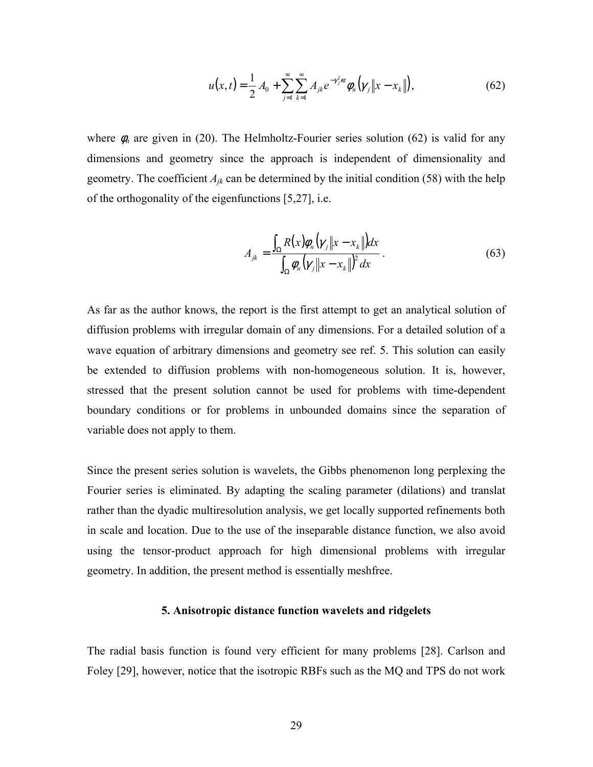$$
u(x,t) = \frac{1}{2}A_0 + \sum_{j=1}^{\infty} \sum_{k=1}^{\infty} A_{jk} e^{-\gamma_j^2 \kappa t} \phi_n(\gamma_j \|x - x_k\|),
$$
 (62)

where  $\phi_n$  are given in (20). The Helmholtz-Fourier series solution (62) is valid for any dimensions and geometry since the approach is independent of dimensionality and geometry. The coefficient  $A_{ik}$  can be determined by the initial condition (58) with the help of the orthogonality of the eigenfunctions [5,27], i.e.

$$
A_{jk} = \frac{\int_{\Omega} R(x)\phi_n(\gamma_j \|x - x_k\|)dx}{\int_{\Omega} \phi_n(\gamma_j \|x - x_k\|)^2 dx}.
$$
 (63)

As far as the author knows, the report is the first attempt to get an analytical solution of diffusion problems with irregular domain of any dimensions. For a detailed solution of a wave equation of arbitrary dimensions and geometry see ref. 5. This solution can easily be extended to diffusion problems with non-homogeneous solution. It is, however, stressed that the present solution cannot be used for problems with time-dependent boundary conditions or for problems in unbounded domains since the separation of variable does not apply to them.

Since the present series solution is wavelets, the Gibbs phenomenon long perplexing the Fourier series is eliminated. By adapting the scaling parameter (dilations) and translat rather than the dyadic multiresolution analysis, we get locally supported refinements both in scale and location. Due to the use of the inseparable distance function, we also avoid using the tensor-product approach for high dimensional problems with irregular geometry. In addition, the present method is essentially meshfree.

#### **5. Anisotropic distance function wavelets and ridgelets**

The radial basis function is found very efficient for many problems [28]. Carlson and Foley [29], however, notice that the isotropic RBFs such as the MQ and TPS do not work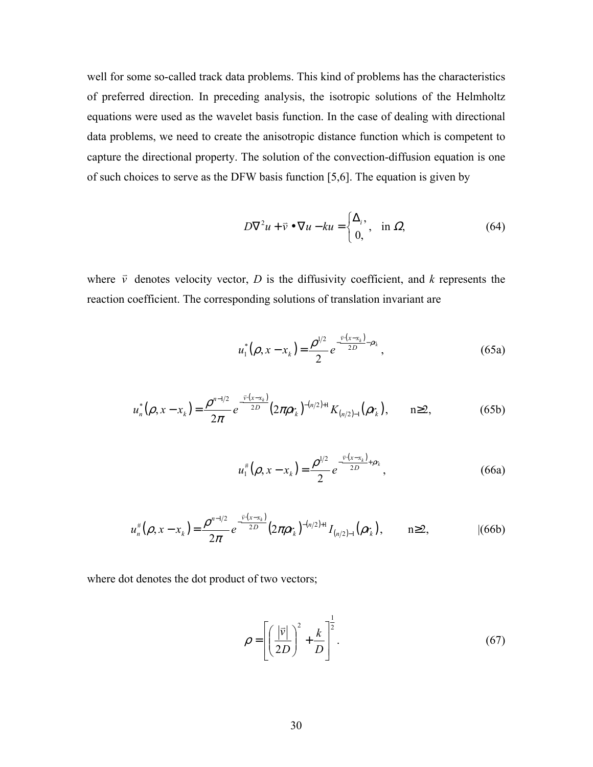well for some so-called track data problems. This kind of problems has the characteristics of preferred direction. In preceding analysis, the isotropic solutions of the Helmholtz equations were used as the wavelet basis function. In the case of dealing with directional data problems, we need to create the anisotropic distance function which is competent to capture the directional property. The solution of the convection-diffusion equation is one of such choices to serve as the DFW basis function [5,6]. The equation is given by

$$
D\nabla^2 u + \vec{v} \bullet \nabla u - ku = \begin{cases} \Delta_i, & \text{in } \Omega, \\ 0, & \text{otherwise} \end{cases}
$$
 (64)

where  $\vec{v}$  denotes velocity vector, *D* is the diffusivity coefficient, and *k* represents the reaction coefficient. The corresponding solutions of translation invariant are

$$
u_1^*(\rho, x - x_k) = \frac{\rho^{1/2}}{2} e^{-\frac{\bar{v} \cdot (x - x_k)}{2D} \rho_k}, \qquad (65a)
$$

$$
u_n^*(\rho, x - x_k) = \frac{\rho^{n-1/2}}{2\pi} e^{-\frac{\bar{v} \cdot (x - x_k)}{2D}} (2\pi \rho r_k)^{-(n/2)+1} K_{(n/2)-1}(\rho r_k), \qquad n \ge 2,
$$
 (65b)

$$
u_1^{\#}(\rho, x - x_k) = \frac{\rho^{1/2}}{2} e^{-\frac{\bar{v}(x - x_k)}{2D} + \rho r_k},
$$
\n(66a)

$$
u_n^{\#}(\rho, x - x_k) = \frac{\rho^{n-1/2}}{2\pi} e^{-\frac{\bar{v} \cdot (x - x_k)}{2D}} (2\pi \rho r_k)^{-(n/2)+1} I_{(n/2)-1}(\rho r_k), \qquad n \ge 2, \tag{66b}
$$

where dot denotes the dot product of two vectors;

$$
\rho = \left[ \left( \frac{|\vec{v}|}{2D} \right)^2 + \frac{k}{D} \right]^{\frac{1}{2}}.
$$
\n(67)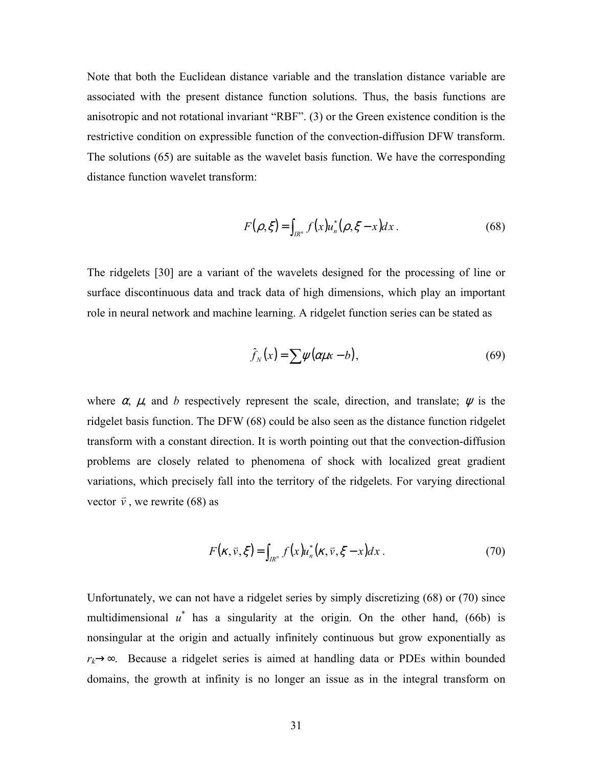Note that both the Euclidean distance variable and the translation distance variable are associated with the present distance function solutions. Thus, the basis functions are anisotropic and not rotational invariant "RBF". (3) or the Green existence condition is the restrictive condition on expressible function of the convection-diffusion DFW transform. The solutions (65) are suitable as the wavelet basis function. We have the corresponding distance function wavelet transform:

$$
F(\rho, \xi) = \int_{I R^n} f(x) u_n^* (\rho, \xi - x) dx.
$$
 (68)

The ridgelets [30] are a variant of the wavelets designed for the processing of line or surface discontinuous data and track data of high dimensions, which play an important role in neural network and machine learning. A ridgelet function series can be stated as

$$
\hat{f}_N(x) = \sum \psi(\alpha \mu x - b),\tag{69}
$$

where  $\alpha$ ,  $\mu$ , and *b* respectively represent the scale, direction, and translate;  $\psi$  is the ridgelet basis function. The DFW (68) could be also seen as the distance function ridgelet transform with a constant direction. It is worth pointing out that the convection-diffusion problems are closely related to phenomena of shock with localized great gradient variations, which precisely fall into the territory of the ridgelets. For varying directional vector  $\vec{v}$ , we rewrite (68) as

$$
F(\kappa,\vec{v},\xi) = \int_{I R^n} f(x) u_n^*(\kappa,\vec{v},\xi - x) dx.
$$
 (70)

Unfortunately, we can not have a ridgelet series by simply discretizing (68) or (70) since multidimensional  $u^*$  has a singularity at the origin. On the other hand, (66b) is nonsingular at the origin and actually infinitely continuous but grow exponentially as *r<sub>k</sub>*→∞. Because a ridgelet series is aimed at handling data or PDEs within bounded domains, the growth at infinity is no longer an issue as in the integral transform on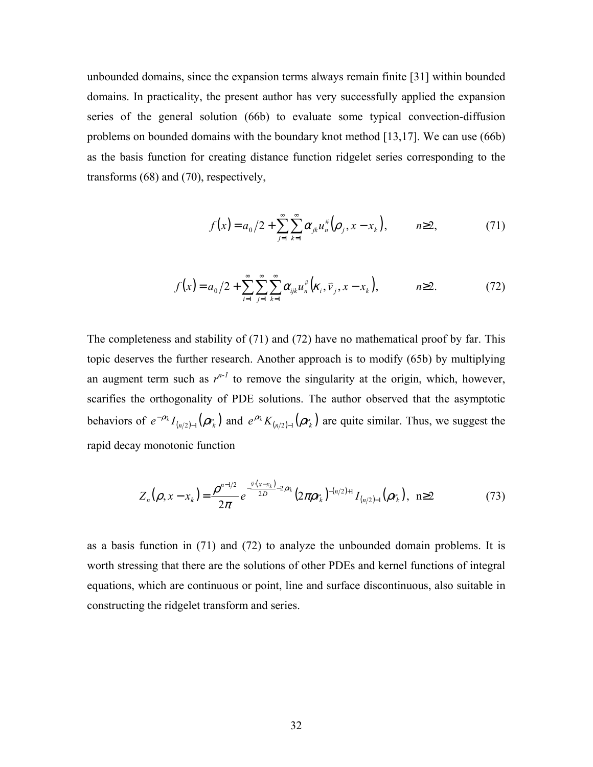unbounded domains, since the expansion terms always remain finite [31] within bounded domains. In practicality, the present author has very successfully applied the expansion series of the general solution (66b) to evaluate some typical convection-diffusion problems on bounded domains with the boundary knot method [13,17]. We can use (66b) as the basis function for creating distance function ridgelet series corresponding to the transforms (68) and (70), respectively,

$$
f(x) = a_0/2 + \sum_{j=1}^{\infty} \sum_{k=1}^{\infty} \alpha_{jk} u_n^{\#}(\rho_j, x - x_k), \qquad n \ge 2,
$$
 (71)

$$
f(x) = a_0/2 + \sum_{i=1}^{\infty} \sum_{j=1}^{\infty} \sum_{k=1}^{\infty} \alpha_{ijk} u_n^{\#} (k_i, \vec{v}_j, x - x_k), \qquad n \ge 2.
$$
 (72)

The completeness and stability of (71) and (72) have no mathematical proof by far. This topic deserves the further research. Another approach is to modify (65b) by multiplying an augment term such as  $r^{n-1}$  to remove the singularity at the origin, which, however, scarifies the orthogonality of PDE solutions. The author observed that the asymptotic behaviors of  $e^{-\rho r_k} I_{(n/2)-1}(\rho r_k)$  and  $e^{\rho r_k} K_{(n/2)-1}(\rho r_k)$  are quite similar. Thus, we suggest the rapid decay monotonic function

$$
Z_n(\rho, x - x_k) = \frac{\rho^{n-1/2}}{2\pi} e^{-\frac{\bar{v} \cdot (x - x_k)}{2D} - 2\rho r_k} (2\pi \rho r_k)^{-(n/2)+1} I_{(n/2)-1}(\rho r_k), \quad n \ge 2
$$
 (73)

as a basis function in (71) and (72) to analyze the unbounded domain problems. It is worth stressing that there are the solutions of other PDEs and kernel functions of integral equations, which are continuous or point, line and surface discontinuous, also suitable in constructing the ridgelet transform and series.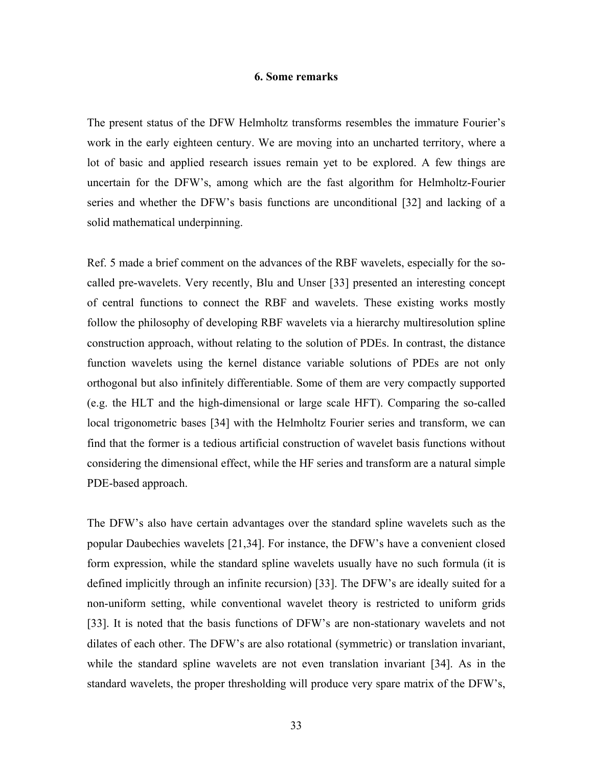#### **6. Some remarks**

The present status of the DFW Helmholtz transforms resembles the immature Fourier's work in the early eighteen century. We are moving into an uncharted territory, where a lot of basic and applied research issues remain yet to be explored. A few things are uncertain for the DFW's, among which are the fast algorithm for Helmholtz-Fourier series and whether the DFW's basis functions are unconditional [32] and lacking of a solid mathematical underpinning.

Ref. 5 made a brief comment on the advances of the RBF wavelets, especially for the socalled pre-wavelets. Very recently, Blu and Unser [33] presented an interesting concept of central functions to connect the RBF and wavelets. These existing works mostly follow the philosophy of developing RBF wavelets via a hierarchy multiresolution spline construction approach, without relating to the solution of PDEs. In contrast, the distance function wavelets using the kernel distance variable solutions of PDEs are not only orthogonal but also infinitely differentiable. Some of them are very compactly supported (e.g. the HLT and the high-dimensional or large scale HFT). Comparing the so-called local trigonometric bases [34] with the Helmholtz Fourier series and transform, we can find that the former is a tedious artificial construction of wavelet basis functions without considering the dimensional effect, while the HF series and transform are a natural simple PDE-based approach.

The DFW's also have certain advantages over the standard spline wavelets such as the popular Daubechies wavelets [21,34]. For instance, the DFW's have a convenient closed form expression, while the standard spline wavelets usually have no such formula (it is defined implicitly through an infinite recursion) [33]. The DFW's are ideally suited for a non-uniform setting, while conventional wavelet theory is restricted to uniform grids [33]. It is noted that the basis functions of DFW's are non-stationary wavelets and not dilates of each other. The DFW's are also rotational (symmetric) or translation invariant, while the standard spline wavelets are not even translation invariant [34]. As in the standard wavelets, the proper thresholding will produce very spare matrix of the DFW's,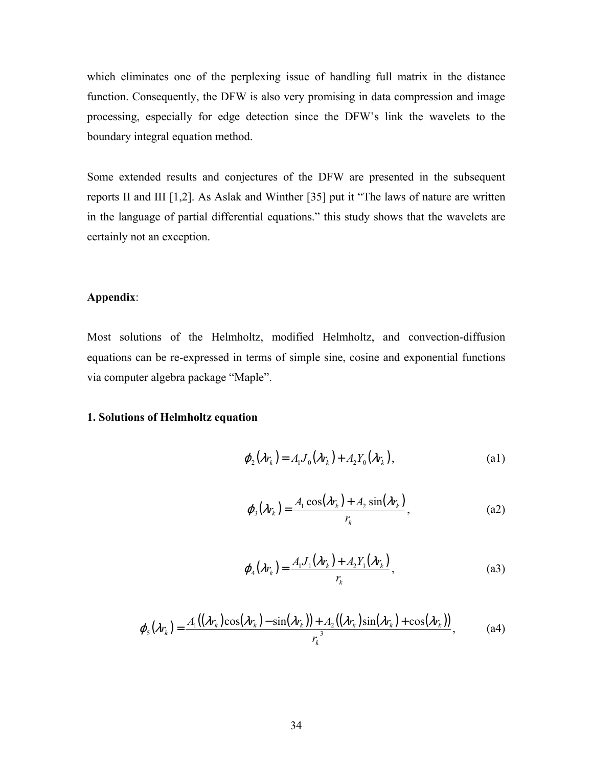which eliminates one of the perplexing issue of handling full matrix in the distance function. Consequently, the DFW is also very promising in data compression and image processing, especially for edge detection since the DFW's link the wavelets to the boundary integral equation method.

Some extended results and conjectures of the DFW are presented in the subsequent reports II and III [1,2]. As Aslak and Winther [35] put it "The laws of nature are written in the language of partial differential equations." this study shows that the wavelets are certainly not an exception.

#### **Appendix**:

Most solutions of the Helmholtz, modified Helmholtz, and convection-diffusion equations can be re-expressed in terms of simple sine, cosine and exponential functions via computer algebra package "Maple".

#### **1. Solutions of Helmholtz equation**

$$
\varphi_2(\lambda r_k) = A_1 J_0(\lambda r_k) + A_2 Y_0(\lambda r_k), \tag{a1}
$$

$$
\varphi_3(\lambda r_k) = \frac{A_1 \cos(\lambda r_k) + A_2 \sin(\lambda r_k)}{r_k},
$$
\n(a2)

$$
\varphi_4(\lambda r_k) = \frac{A_1 J_1(\lambda r_k) + A_2 Y_1(\lambda r_k)}{r_k},
$$
\n<sup>(a3)</sup>

$$
\varphi_{5}(\lambda r_{k}) = \frac{A_{1}((\lambda r_{k})\cos(\lambda r_{k}) - \sin(\lambda r_{k})) + A_{2}((\lambda r_{k})\sin(\lambda r_{k}) + \cos(\lambda r_{k}))}{r_{k}^{3}}, \tag{a4}
$$

 $\overline{a}$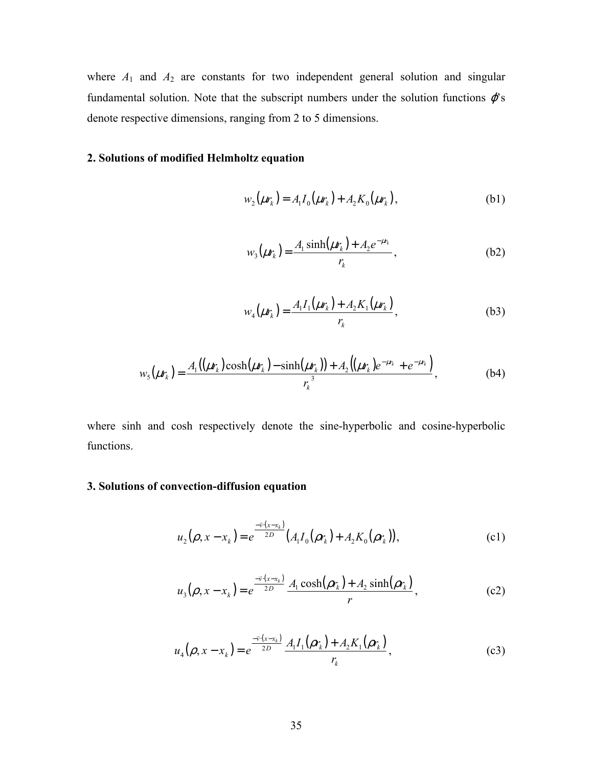where  $A_1$  and  $A_2$  are constants for two independent general solution and singular fundamental solution. Note that the subscript numbers under the solution functions  $\varphi$ 's denote respective dimensions, ranging from 2 to 5 dimensions.

## **2. Solutions of modified Helmholtz equation**

$$
w_2(\mu r_k) = A_1 I_0(\mu r_k) + A_2 K_0(\mu r_k), \tag{b1}
$$

$$
w_3(\mu r_k) = \frac{A_1 \sinh(\mu r_k) + A_2 e^{-\mu r_k}}{r_k},
$$
 (b2)

$$
w_4(\mu r_k) = \frac{A_1 I_1(\mu r_k) + A_2 K_1(\mu r_k)}{r_k},
$$
 (b3)

$$
w_{5}(\mu r_{k}) = \frac{A_{1}((\mu r_{k})\cosh(\mu r_{k}) - \sinh(\mu r_{k})) + A_{2}((\mu r_{k})e^{-\mu r_{k}} + e^{-\mu r_{k}})}{r_{k}^{3}},
$$
(b4)

where sinh and cosh respectively denote the sine-hyperbolic and cosine-hyperbolic functions.

## **3. Solutions of convection-diffusion equation**

$$
u_2(\rho, x - x_k) = e^{\frac{-\bar{v}(x - x_k)}{2D}} (A_1 I_0(\rho r_k) + A_2 K_0(\rho r_k)),
$$
\n<sup>(c1)</sup>

$$
u_3(\rho, x - x_k) = e^{\frac{-\bar{v}(x - x_k)}{2D}} \frac{A_1 \cosh(\rho r_k) + A_2 \sinh(\rho r_k)}{r},
$$
 (c2)

$$
u_4(\rho, x - x_k) = e^{\frac{-\bar{v}(x - x_k)}{2D}} \frac{A_1 I_1(\rho r_k) + A_2 K_1(\rho r_k)}{r_k},
$$
(c3)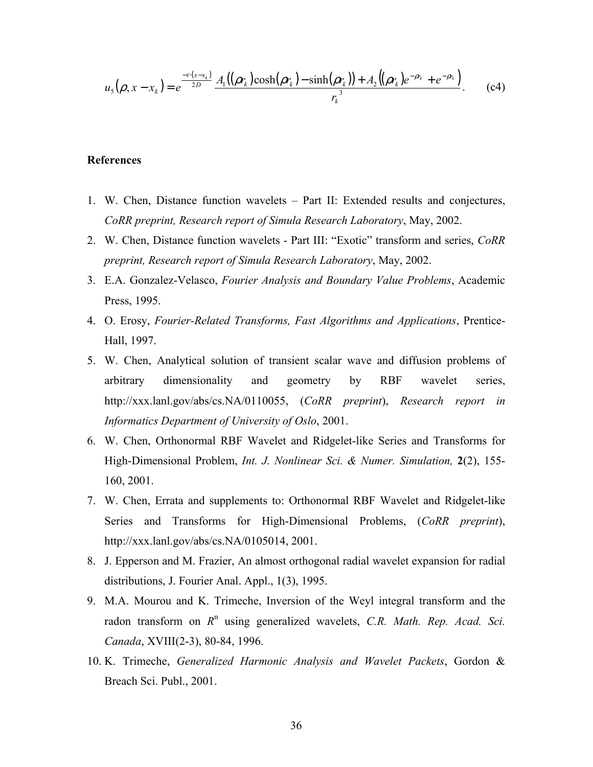$$
u_{5}(\rho, x - x_{k}) = e^{\frac{-\bar{v} \cdot (x - x_{k})}{2D}} \frac{A_{1}((\rho r_{k}) \cosh(\rho r_{k}) - \sinh(\rho r_{k})) + A_{2}((\rho r_{k})e^{-\rho r_{k}} + e^{-\rho r_{k}})}{r_{k}^{3}}.
$$
 (c4)

#### **References**

- 1. W. Chen, Distance function wavelets Part II: Extended results and conjectures, *CoRR preprint, Research report of Simula Research Laboratory*, May, 2002.
- 2. W. Chen, Distance function wavelets Part III: "Exotic" transform and series, *CoRR preprint, Research report of Simula Research Laboratory*, May, 2002.
- 3. E.A. Gonzalez-Velasco, *Fourier Analysis and Boundary Value Problems*, Academic Press, 1995.
- 4. O. Erosy, *Fourier-Related Transforms, Fast Algorithms and Applications*, Prentice-Hall, 1997.
- 5. W. Chen, Analytical solution of transient scalar wave and diffusion problems of arbitrary dimensionality and geometry by RBF wavelet series, http://xxx.lanl.gov/abs/cs.NA/0110055, (*CoRR preprint*), *Research report in Informatics Department of University of Oslo*, 2001.
- 6. W. Chen, Orthonormal RBF Wavelet and Ridgelet-like Series and Transforms for High-Dimensional Problem, *Int. J. Nonlinear Sci. & Numer. Simulation,* **2**(2), 155- 160, 2001.
- 7. W. Chen, Errata and supplements to: Orthonormal RBF Wavelet and Ridgelet-like Series and Transforms for High-Dimensional Problems, (*CoRR preprint*), http://xxx.lanl.gov/abs/cs.NA/0105014, 2001.
- 8. J. Epperson and M. Frazier, An almost orthogonal radial wavelet expansion for radial distributions, J. Fourier Anal. Appl., 1(3), 1995.
- 9. M.A. Mourou and K. Trimeche, Inversion of the Weyl integral transform and the radon transform on  $R<sup>n</sup>$  using generalized wavelets, *C.R. Math. Rep. Acad. Sci. Canada*, XVIII(2-3), 80-84, 1996.
- 10. K. Trimeche, *Generalized Harmonic Analysis and Wavelet Packets*, Gordon & Breach Sci. Publ., 2001.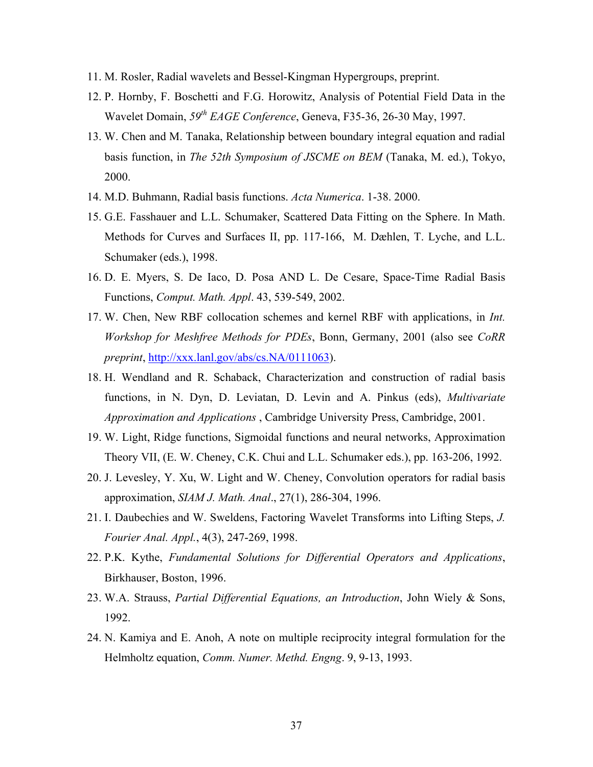- 11. M. Rosler, Radial wavelets and Bessel-Kingman Hypergroups, preprint.
- 12. P. Hornby, F. Boschetti and F.G. Horowitz, Analysis of Potential Field Data in the Wavelet Domain, *59th EAGE Conference*, Geneva, F35-36, 26-30 May, 1997.
- 13. W. Chen and M. Tanaka, Relationship between boundary integral equation and radial basis function, in *The 52th Symposium of JSCME on BEM* (Tanaka, M. ed.), Tokyo, 2000.
- 14. M.D. Buhmann, Radial basis functions. *Acta Numerica*. 1-38. 2000.
- 15. G.E. Fasshauer and L.L. Schumaker, Scattered Data Fitting on the Sphere. In Math. Methods for Curves and Surfaces II, pp. 117-166, M. Dæhlen, T. Lyche, and L.L. Schumaker (eds.), 1998.
- 16. D. E. Myers, S. De Iaco, D. Posa AND L. De Cesare, Space-Time Radial Basis Functions, *Comput. Math. Appl*. 43, 539-549, 2002.
- 17. W. Chen, New RBF collocation schemes and kernel RBF with applications, in *Int. Workshop for Meshfree Methods for PDEs*, Bonn, Germany, 2001 (also see *CoRR preprint*,<http://xxx.lanl.gov/abs/cs.NA/0111063>).
- 18. H. Wendland and R. Schaback, Characterization and construction of radial basis functions, in N. Dyn, D. Leviatan, D. Levin and A. Pinkus (eds), *Multivariate Approximation and Applications* , Cambridge University Press, Cambridge, 2001.
- 19. W. Light, Ridge functions, Sigmoidal functions and neural networks, Approximation Theory VII, (E. W. Cheney, C.K. Chui and L.L. Schumaker eds.), pp. 163-206, 1992.
- 20. J. Levesley, Y. Xu, W. Light and W. Cheney, Convolution operators for radial basis approximation, *SIAM J. Math. Anal*., 27(1), 286-304, 1996.
- 21. I. Daubechies and W. Sweldens, Factoring Wavelet Transforms into Lifting Steps, *J. Fourier Anal. Appl.*, 4(3), 247-269, 1998.
- 22. P.K. Kythe, *Fundamental Solutions for Differential Operators and Applications*, Birkhauser, Boston, 1996.
- 23. W.A. Strauss, *Partial Differential Equations, an Introduction*, John Wiely & Sons, 1992.
- 24. N. Kamiya and E. Anoh, A note on multiple reciprocity integral formulation for the Helmholtz equation, *Comm. Numer. Methd. Engng*. 9, 9-13, 1993.